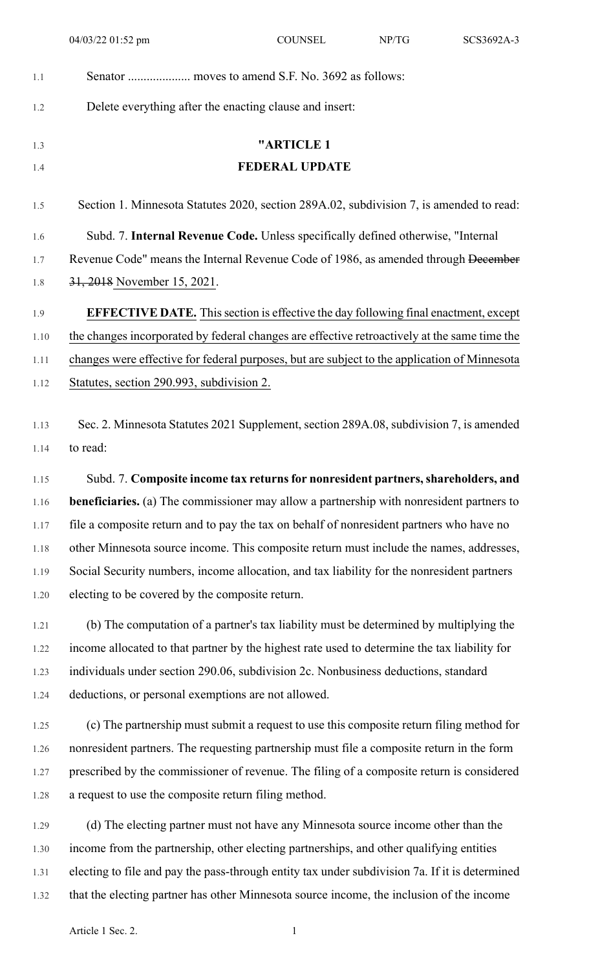| 1.1  |                                                                                                 |
|------|-------------------------------------------------------------------------------------------------|
| 1.2  | Delete everything after the enacting clause and insert:                                         |
| 1.3  | "ARTICLE 1                                                                                      |
| 1.4  | <b>FEDERAL UPDATE</b>                                                                           |
| 1.5  | Section 1. Minnesota Statutes 2020, section 289A.02, subdivision 7, is amended to read:         |
| 1.6  | Subd. 7. Internal Revenue Code. Unless specifically defined otherwise, "Internal                |
| 1.7  | Revenue Code" means the Internal Revenue Code of 1986, as amended through December              |
| 1.8  | 31, 2018 November 15, 2021.                                                                     |
| 1.9  | <b>EFFECTIVE DATE.</b> This section is effective the day following final enactment, except      |
| 1.10 | the changes incorporated by federal changes are effective retroactively at the same time the    |
| 1.11 | changes were effective for federal purposes, but are subject to the application of Minnesota    |
| 1.12 | Statutes, section 290.993, subdivision 2.                                                       |
|      |                                                                                                 |
| 1.13 | Sec. 2. Minnesota Statutes 2021 Supplement, section 289A.08, subdivision 7, is amended          |
| 1.14 | to read:                                                                                        |
| 1.15 | Subd. 7. Composite income tax returns for nonresident partners, shareholders, and               |
| 1.16 | <b>beneficiaries.</b> (a) The commissioner may allow a partnership with nonresident partners to |
| 1.17 | file a composite return and to pay the tax on behalf of nonresident partners who have no        |
| 1.18 | other Minnesota source income. This composite return must include the names, addresses,         |
| 1.19 | Social Security numbers, income allocation, and tax liability for the nonresident partners      |
| 1.20 | electing to be covered by the composite return.                                                 |
| 1.21 | (b) The computation of a partner's tax liability must be determined by multiplying the          |
| 1.22 | income allocated to that partner by the highest rate used to determine the tax liability for    |
| 1.23 | individuals under section 290.06, subdivision 2c. Nonbusiness deductions, standard              |
| 1.24 | deductions, or personal exemptions are not allowed.                                             |
| 1.25 | (c) The partnership must submit a request to use this composite return filing method for        |
| 1.26 | nonresident partners. The requesting partnership must file a composite return in the form       |
| 1.27 | prescribed by the commissioner of revenue. The filing of a composite return is considered       |
| 1.28 | a request to use the composite return filing method.                                            |
| 1.29 | (d) The electing partner must not have any Minnesota source income other than the               |
| 1.30 | income from the partnership, other electing partnerships, and other qualifying entities         |
| 1.31 | electing to file and pay the pass-through entity tax under subdivision 7a. If it is determined  |
|      |                                                                                                 |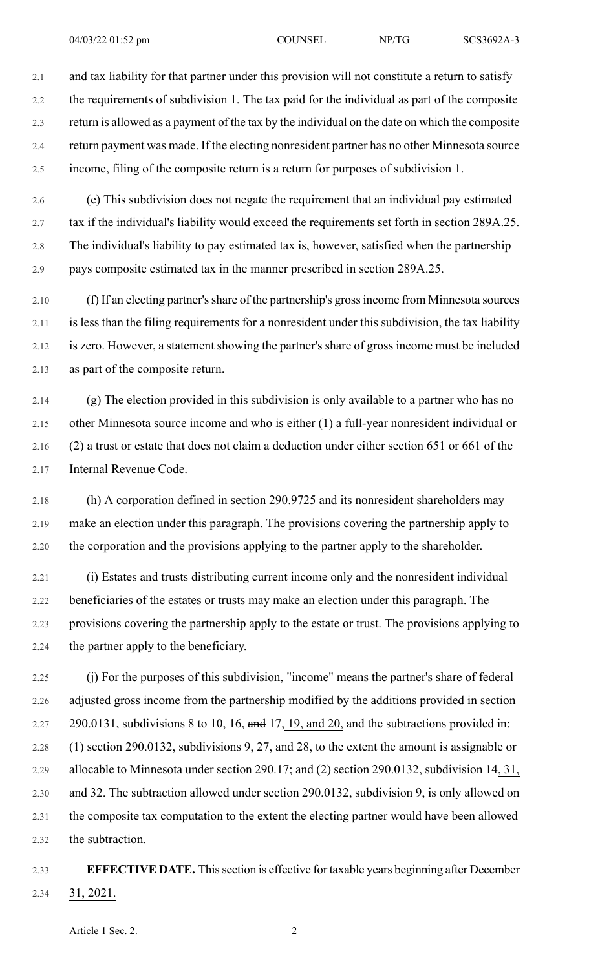2.1 and tax liability for that partner under this provision will not constitute a return to satisfy 2.2 the requirements of subdivision 1. The tax paid for the individual as part of the composite 2.3 return is allowed as a payment of the tax by the individual on the date on which the composite 2.4 return payment was made. If the electing nonresident partner has no other Minnesota source 2.5 income, filing of the composite return is a return for purposes of subdivision 1.

2.6 (e) This subdivision does not negate the requirement that an individual pay estimated 2.7 tax if the individual's liability would exceed the requirements set forth in section 289A.25. 2.8 The individual's liability to pay estimated tax is, however, satisfied when the partnership 2.9 pays composite estimated tax in the manner prescribed in section 289A.25.

2.10 (f) If an electing partner'sshare of the partnership's grossincome from Minnesota sources 2.11 is less than the filing requirements for a nonresident under this subdivision, the tax liability 2.12 is zero. However, a statement showing the partner's share of gross income must be included 2.13 as part of the composite return.

2.14 (g) The election provided in this subdivision is only available to a partner who has no 2.15 other Minnesota source income and who is either (1) a full-year nonresident individual or 2.16 (2) a trust or estate that does not claim a deduction under either section 651 or 661 of the 2.17 Internal Revenue Code.

2.18 (h) A corporation defined in section 290.9725 and its nonresident shareholders may 2.19 make an election under this paragraph. The provisions covering the partnership apply to 2.20 the corporation and the provisions applying to the partner apply to the shareholder.

2.21 (i) Estates and trusts distributing current income only and the nonresident individual 2.22 beneficiaries of the estates or trusts may make an election under this paragraph. The 2.23 provisions covering the partnership apply to the estate or trust. The provisions applying to 2.24 the partner apply to the beneficiary.

2.25 (j) For the purposes of this subdivision, "income" means the partner's share of federal 2.26 adjusted gross income from the partnership modified by the additions provided in section 2.27 290.0131, subdivisions 8 to 10, 16,  $\theta$  and 17, 19, and 20, and the subtractions provided in: 2.28 (1) section 290.0132, subdivisions 9, 27, and 28, to the extent the amount is assignable or 2.29 allocable to Minnesota under section 290.17; and (2) section 290.0132, subdivision 14, 31, 2.30 and 32. The subtraction allowed under section 290.0132, subdivision 9, is only allowed on 2.31 the composite tax computation to the extent the electing partner would have been allowed 2.32 the subtraction.

## 2.33 **EFFECTIVE DATE.** Thissection is effective for taxable years beginning after December 2.34 31, 2021.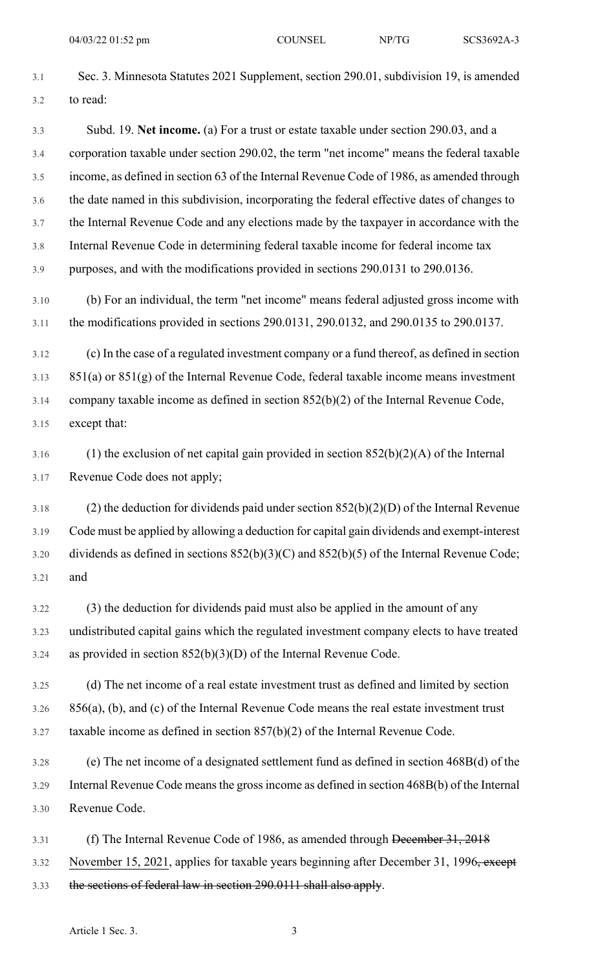- 3.1 Sec. 3. Minnesota Statutes 2021 Supplement, section 290.01, subdivision 19, is amended 3.2 to read: 3.3 Subd. 19. **Net income.** (a) For a trust or estate taxable under section 290.03, and a 3.4 corporation taxable under section 290.02, the term "net income" means the federal taxable 3.5 income, as defined in section 63 of the Internal Revenue Code of 1986, as amended through 3.6 the date named in this subdivision, incorporating the federal effective dates of changes to 3.7 the Internal Revenue Code and any elections made by the taxpayer in accordance with the 3.8 Internal Revenue Code in determining federal taxable income for federal income tax 3.9 purposes, and with the modifications provided in sections 290.0131 to 290.0136. 3.10 (b) For an individual, the term "net income" means federal adjusted gross income with 3.11 the modifications provided in sections 290.0131, 290.0132, and 290.0135 to 290.0137. 3.12 (c) In the case of a regulated investment company or a fund thereof, as defined in section  $3.13$   $851(a)$  or  $851(g)$  of the Internal Revenue Code, federal taxable income means investment 3.14 company taxable income as defined in section 852(b)(2) of the Internal Revenue Code, 3.15 except that: 3.16 (1) the exclusion of net capital gain provided in section  $852(b)(2)(A)$  of the Internal 3.17 Revenue Code does not apply; 3.18 (2) the deduction for dividends paid under section 852(b)(2)(D) of the Internal Revenue 3.19 Code must be applied by allowing a deduction for capital gain dividends and exempt-interest 3.20 dividends as defined in sections  $852(b)(3)(C)$  and  $852(b)(5)$  of the Internal Revenue Code; 3.21 and 3.22 (3) the deduction for dividends paid must also be applied in the amount of any 3.23 undistributed capital gains which the regulated investment company elects to have treated 3.24 as provided in section  $852(b)(3)(D)$  of the Internal Revenue Code. 3.25 (d) The net income of a real estate investment trust as defined and limited by section 3.26 856(a), (b), and (c) of the Internal Revenue Code means the real estate investment trust 3.27 taxable income as defined in section 857(b)(2) of the Internal Revenue Code. 3.28 (e) The net income of a designated settlement fund as defined in section 468B(d) of the 3.29 Internal Revenue Code meansthe grossincome as defined in section 468B(b) of the Internal 3.30 Revenue Code. 3.31 (f) The Internal Revenue Code of 1986, as amended through December 31, 2018 3.32 November 15, 2021, applies for taxable years beginning after December 31, 1996, except
- 3.33 the sections of federal law in section 290.0111 shall also apply.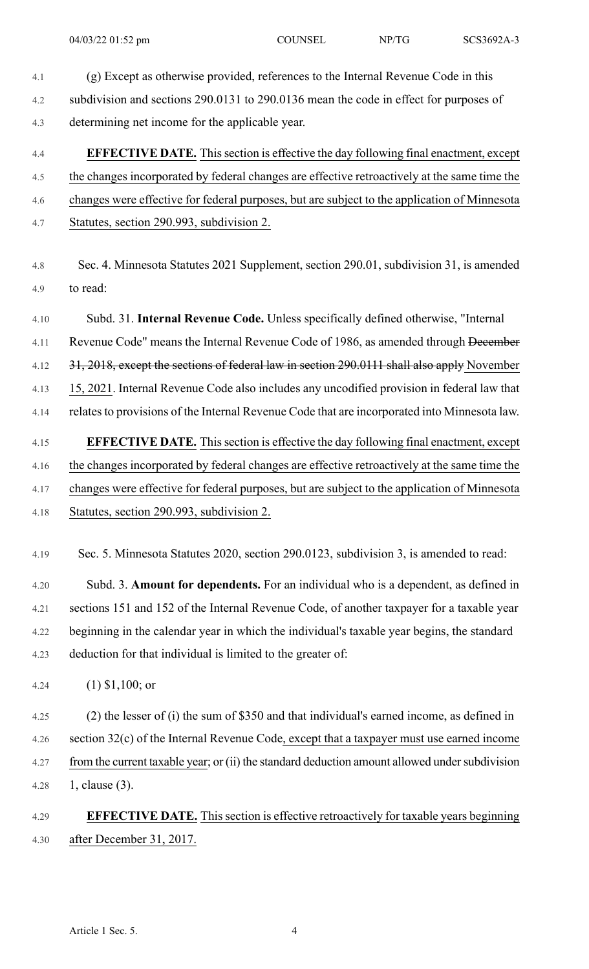- 
- 4.1 (g) Except as otherwise provided, references to the Internal Revenue Code in this 4.2 subdivision and sections 290.0131 to 290.0136 mean the code in effect for purposes of 4.3 determining net income for the applicable year.

# 4.4 **EFFECTIVE DATE.** Thissection is effective the day following final enactment, except 4.5 the changes incorporated by federal changes are effective retroactively at the same time the 4.6 changes were effective for federal purposes, but are subject to the application of Minnesota 4.7 Statutes, section 290.993, subdivision 2.

4.8 Sec. 4. Minnesota Statutes 2021 Supplement, section 290.01, subdivision 31, is amended 4.9 to read:

4.10 Subd. 31. **Internal Revenue Code.** Unless specifically defined otherwise, "Internal 4.11 Revenue Code" means the Internal Revenue Code of 1986, as amended through December 4.12 31, 2018, except the sections of federal law in section 290.0111 shall also apply November 4.13 15, 2021. Internal Revenue Code also includes any uncodified provision in federal law that 4.14 relates to provisions of the Internal Revenue Code that are incorporated into Minnesota law. 4.15 **EFFECTIVE DATE.** Thissection is effective the day following final enactment, except

- 4.16 the changes incorporated by federal changes are effective retroactively at the same time the 4.17 changes were effective for federal purposes, but are subject to the application of Minnesota
- 4.18 Statutes, section 290.993, subdivision 2.
- 4.19 Sec. 5. Minnesota Statutes 2020, section 290.0123, subdivision 3, is amended to read:

4.20 Subd. 3. **Amount for dependents.** For an individual who is a dependent, as defined in 4.21 sections 151 and 152 of the Internal Revenue Code, of another taxpayer for a taxable year 4.22 beginning in the calendar year in which the individual's taxable year begins, the standard 4.23 deduction for that individual is limited to the greater of:

4.24 (1) \$1,100; or

4.25 (2) the lesser of (i) the sum of \$350 and that individual's earned income, as defined in 4.26 section 32(c) of the Internal Revenue Code, except that a taxpayer must use earned income 4.27 from the current taxable year; or (ii) the standard deduction amount allowed under subdivision 4.28 1, clause (3).

## 4.29 **EFFECTIVE DATE.** This section is effective retroactively for taxable years beginning 4.30 after December 31, 2017.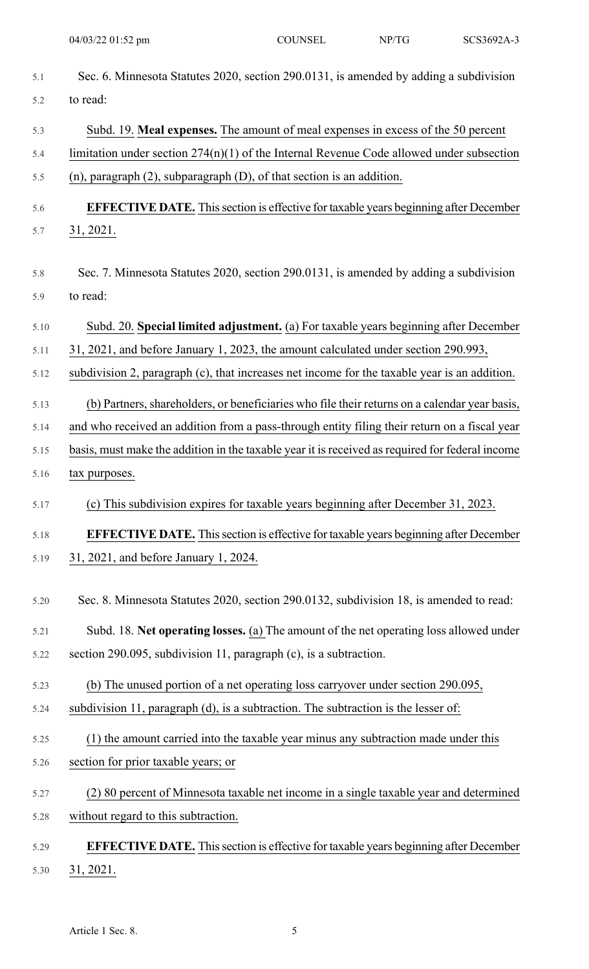| 5.1  | Sec. 6. Minnesota Statutes 2020, section 290.0131, is amended by adding a subdivision           |
|------|-------------------------------------------------------------------------------------------------|
| 5.2  | to read:                                                                                        |
| 5.3  | Subd. 19. Meal expenses. The amount of meal expenses in excess of the 50 percent                |
| 5.4  | limitation under section $274(n)(1)$ of the Internal Revenue Code allowed under subsection      |
| 5.5  | $(n)$ , paragraph $(2)$ , subparagraph $(D)$ , of that section is an addition.                  |
| 5.6  | <b>EFFECTIVE DATE.</b> This section is effective for taxable years beginning after December     |
| 5.7  | 31, 2021.                                                                                       |
| 5.8  | Sec. 7. Minnesota Statutes 2020, section 290.0131, is amended by adding a subdivision           |
| 5.9  | to read:                                                                                        |
| 5.10 | Subd. 20. Special limited adjustment. (a) For taxable years beginning after December            |
| 5.11 | 31, 2021, and before January 1, 2023, the amount calculated under section 290.993,              |
| 5.12 | subdivision 2, paragraph (c), that increases net income for the taxable year is an addition.    |
| 5.13 | (b) Partners, shareholders, or beneficiaries who file their returns on a calendar year basis,   |
| 5.14 | and who received an addition from a pass-through entity filing their return on a fiscal year    |
| 5.15 | basis, must make the addition in the taxable year it is received as required for federal income |
| 5.16 | tax purposes.                                                                                   |
| 5.17 | (c) This subdivision expires for taxable years beginning after December 31, 2023.               |
| 5.18 | <b>EFFECTIVE DATE.</b> This section is effective for taxable years beginning after December     |
| 5.19 | 31, 2021, and before January 1, 2024.                                                           |
| 5.20 | Sec. 8. Minnesota Statutes 2020, section 290.0132, subdivision 18, is amended to read:          |
| 5.21 | Subd. 18. Net operating losses. (a) The amount of the net operating loss allowed under          |
| 5.22 | section 290.095, subdivision 11, paragraph (c), is a subtraction.                               |
| 5.23 | (b) The unused portion of a net operating loss carryover under section 290.095,                 |
| 5.24 | subdivision 11, paragraph (d), is a subtraction. The subtraction is the lesser of:              |
| 5.25 | (1) the amount carried into the taxable year minus any subtraction made under this              |
| 5.26 | section for prior taxable years; or                                                             |
| 5.27 | (2) 80 percent of Minnesota taxable net income in a single taxable year and determined          |
| 5.28 | without regard to this subtraction.                                                             |
| 5.29 | <b>EFFECTIVE DATE.</b> This section is effective for taxable years beginning after December     |
| 5.30 | 31, 2021.                                                                                       |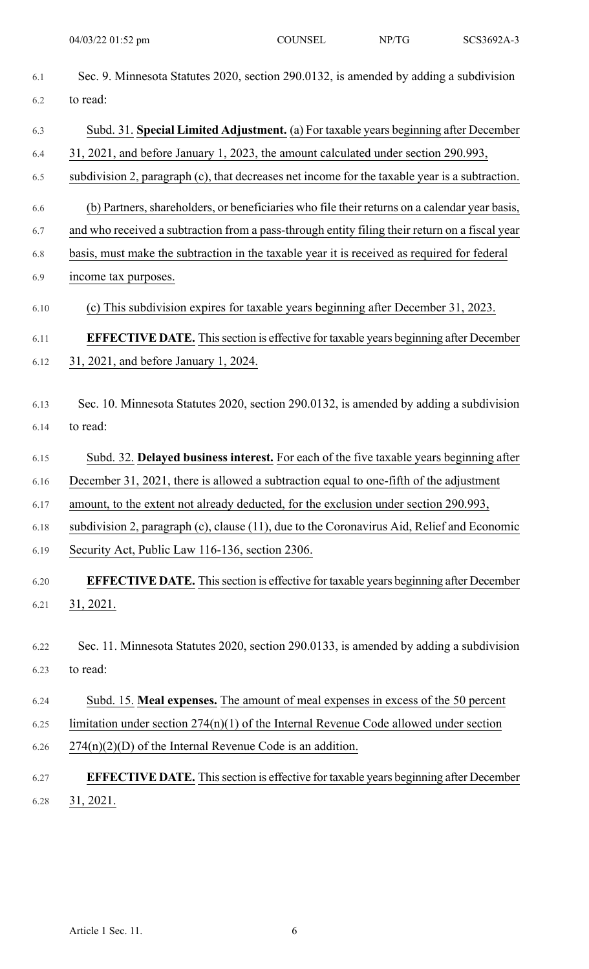| 6.1  | Sec. 9. Minnesota Statutes 2020, section 290.0132, is amended by adding a subdivision          |
|------|------------------------------------------------------------------------------------------------|
| 6.2  | to read:                                                                                       |
| 6.3  | Subd. 31. Special Limited Adjustment. (a) For taxable years beginning after December           |
| 6.4  | 31, 2021, and before January 1, 2023, the amount calculated under section 290.993,             |
| 6.5  | subdivision 2, paragraph (c), that decreases net income for the taxable year is a subtraction. |
| 6.6  | (b) Partners, shareholders, or beneficiaries who file their returns on a calendar year basis,  |
| 6.7  | and who received a subtraction from a pass-through entity filing their return on a fiscal year |
| 6.8  | basis, must make the subtraction in the taxable year it is received as required for federal    |
| 6.9  | income tax purposes.                                                                           |
| 6.10 | (c) This subdivision expires for taxable years beginning after December 31, 2023.              |
| 6.11 | <b>EFFECTIVE DATE.</b> This section is effective for taxable years beginning after December    |
| 6.12 | 31, 2021, and before January 1, 2024.                                                          |
| 6.13 | Sec. 10. Minnesota Statutes 2020, section 290.0132, is amended by adding a subdivision         |
| 6.14 | to read:                                                                                       |
|      |                                                                                                |
| 6.15 | Subd. 32. Delayed business interest. For each of the five taxable years beginning after        |
| 6.16 | December 31, 2021, there is allowed a subtraction equal to one-fifth of the adjustment         |
| 6.17 | amount, to the extent not already deducted, for the exclusion under section 290.993,           |
| 6.18 | subdivision 2, paragraph (c), clause (11), due to the Coronavirus Aid, Relief and Economic     |
| 6.19 | Security Act, Public Law 116-136, section 2306.                                                |
| 6.20 | <b>EFFECTIVE DATE.</b> This section is effective for taxable years beginning after December    |
| 6.21 | <u>31, 2021.</u>                                                                               |
|      |                                                                                                |
| 6.22 | Sec. 11. Minnesota Statutes 2020, section 290.0133, is amended by adding a subdivision         |
| 6.23 | to read:                                                                                       |
| 6.24 | Subd. 15. Meal expenses. The amount of meal expenses in excess of the 50 percent               |
| 6.25 | limitation under section $274(n)(1)$ of the Internal Revenue Code allowed under section        |
| 6.26 | $274(n)(2)(D)$ of the Internal Revenue Code is an addition.                                    |
| 6.27 | <b>EFFECTIVE DATE.</b> This section is effective for taxable years beginning after December    |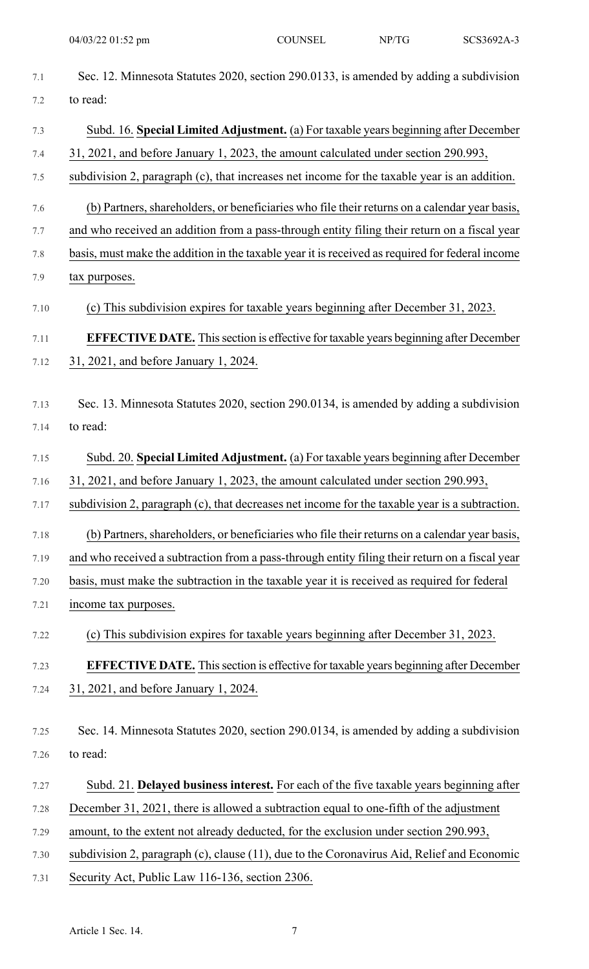| 7.1     | Sec. 12. Minnesota Statutes 2020, section 290.0133, is amended by adding a subdivision           |
|---------|--------------------------------------------------------------------------------------------------|
| 7.2     | to read:                                                                                         |
| 7.3     | Subd. 16. Special Limited Adjustment. (a) For taxable years beginning after December             |
| 7.4     | 31, 2021, and before January 1, 2023, the amount calculated under section 290.993,               |
| 7.5     | subdivision 2, paragraph (c), that increases net income for the taxable year is an addition.     |
| 7.6     | (b) Partners, shareholders, or beneficiaries who file their returns on a calendar year basis,    |
| 7.7     | and who received an addition from a pass-through entity filing their return on a fiscal year     |
| $7.8\,$ | basis, must make the addition in the taxable year it is received as required for federal income  |
| 7.9     | tax purposes.                                                                                    |
| 7.10    | (c) This subdivision expires for taxable years beginning after December 31, 2023.                |
| 7.11    | <b>EFFECTIVE DATE.</b> This section is effective for taxable years beginning after December      |
| 7.12    | 31, 2021, and before January 1, 2024.                                                            |
|         |                                                                                                  |
| 7.13    | Sec. 13. Minnesota Statutes 2020, section 290.0134, is amended by adding a subdivision           |
| 7.14    | to read:                                                                                         |
| 7.15    | Subd. 20. Special Limited Adjustment. (a) For taxable years beginning after December             |
| 7.16    | 31, 2021, and before January 1, 2023, the amount calculated under section 290.993,               |
| 7.17    | subdivision 2, paragraph (c), that decreases net income for the taxable year is a subtraction.   |
| 7.18    | (b) Partners, shareholders, or beneficiaries who file their returns on a calendar year basis,    |
| 7.19    | and who received a subtraction from a pass-through entity filing their return on a fiscal year   |
| 7.20    | basis, must make the subtraction in the taxable year it is received as required for federal      |
| 7.21    | income tax purposes.                                                                             |
| 7.22    | (c) This subdivision expires for taxable years beginning after December 31, 2023.                |
| 7.23    | <b>EFFECTIVE DATE.</b> This section is effective for taxable years beginning after December      |
| 7.24    | 31, 2021, and before January 1, 2024.                                                            |
|         |                                                                                                  |
| 7.25    | Sec. 14. Minnesota Statutes 2020, section 290.0134, is amended by adding a subdivision           |
| 7.26    | to read:                                                                                         |
| 7.27    | Subd. 21. Delayed business interest. For each of the five taxable years beginning after          |
| 7.28    | December 31, 2021, there is allowed a subtraction equal to one-fifth of the adjustment           |
| 7.29    | amount, to the extent not already deducted, for the exclusion under section 290.993,             |
| 7.30    | subdivision 2, paragraph $(c)$ , clause $(11)$ , due to the Coronavirus Aid, Relief and Economic |
| 7.31    | Security Act, Public Law 116-136, section 2306.                                                  |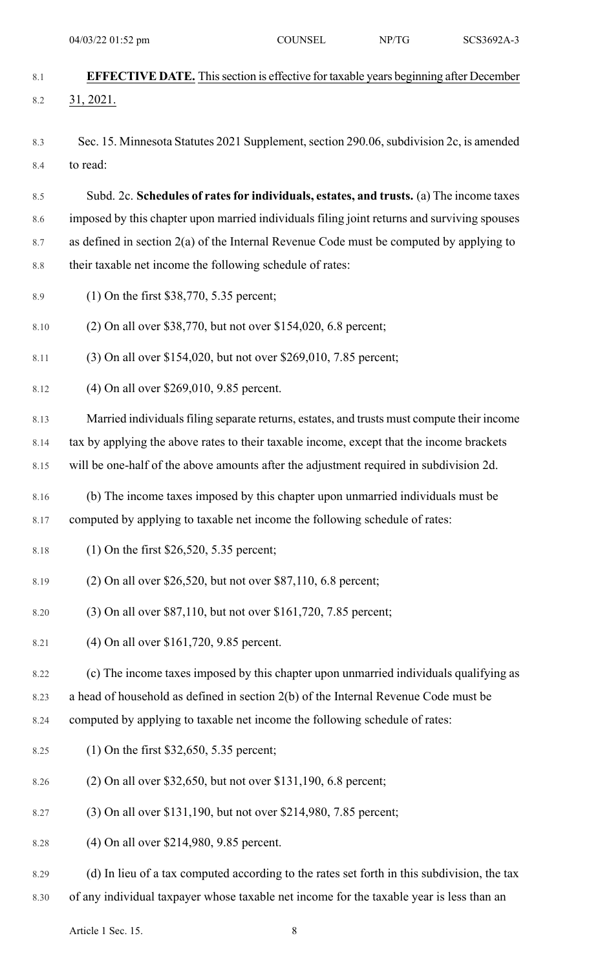|            | 04/03/22 01:52 pm                                                                                   | <b>COUNSEL</b> | NP/TG | SCS3692A-3 |
|------------|-----------------------------------------------------------------------------------------------------|----------------|-------|------------|
| 8.1        | <b>EFFECTIVE DATE.</b> This section is effective for taxable years beginning after December         |                |       |            |
| 8.2        | 31, 2021.                                                                                           |                |       |            |
|            |                                                                                                     |                |       |            |
| 8.3<br>8.4 | Sec. 15. Minnesota Statutes 2021 Supplement, section 290.06, subdivision 2c, is amended<br>to read: |                |       |            |
|            |                                                                                                     |                |       |            |
| 8.5        | Subd. 2c. Schedules of rates for individuals, estates, and trusts. (a) The income taxes             |                |       |            |
| 8.6        | imposed by this chapter upon married individuals filing joint returns and surviving spouses         |                |       |            |
| 8.7        | as defined in section 2(a) of the Internal Revenue Code must be computed by applying to             |                |       |            |
| $8.8\,$    | their taxable net income the following schedule of rates:                                           |                |       |            |
| 8.9        | $(1)$ On the first \$38,770, 5.35 percent;                                                          |                |       |            |
| 8.10       | (2) On all over \$38,770, but not over \$154,020, 6.8 percent;                                      |                |       |            |
| 8.11       | (3) On all over \$154,020, but not over \$269,010, 7.85 percent;                                    |                |       |            |
| 8.12       | (4) On all over \$269,010, 9.85 percent.                                                            |                |       |            |
| 8.13       | Married individuals filing separate returns, estates, and trusts must compute their income          |                |       |            |
| 8.14       | tax by applying the above rates to their taxable income, except that the income brackets            |                |       |            |
| 8.15       | will be one-half of the above amounts after the adjustment required in subdivision 2d.              |                |       |            |
| 8.16       | (b) The income taxes imposed by this chapter upon unmarried individuals must be                     |                |       |            |
| 8.17       | computed by applying to taxable net income the following schedule of rates:                         |                |       |            |
| 8.18       | $(1)$ On the first \$26,520, 5.35 percent;                                                          |                |       |            |
| 8.19       | $(2)$ On all over \$26,520, but not over \$87,110, 6.8 percent;                                     |                |       |            |
| 8.20       | (3) On all over \$87,110, but not over \$161,720, 7.85 percent;                                     |                |       |            |
| 8.21       | (4) On all over \$161,720, 9.85 percent.                                                            |                |       |            |
| 8.22       | (c) The income taxes imposed by this chapter upon unmarried individuals qualifying as               |                |       |            |
| 8.23       | a head of household as defined in section 2(b) of the Internal Revenue Code must be                 |                |       |            |
| 8.24       | computed by applying to taxable net income the following schedule of rates:                         |                |       |            |
| 8.25       | $(1)$ On the first \$32,650, 5.35 percent;                                                          |                |       |            |
| 8.26       | (2) On all over \$32,650, but not over \$131,190, 6.8 percent;                                      |                |       |            |

- 8.27 (3) On all over \$131,190, but not over \$214,980, 7.85 percent;
- 8.28 (4) On all over \$214,980, 9.85 percent.
- 8.29 (d) In lieu of a tax computed according to the rates set forth in this subdivision, the tax
- 8.30 of any individual taxpayer whose taxable net income for the taxable year is less than an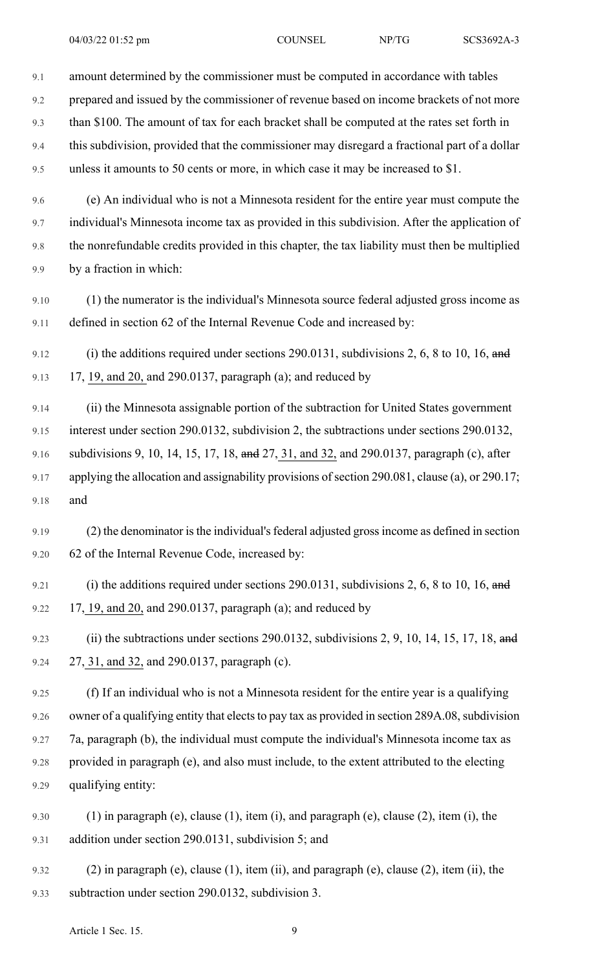9.3 than \$100. The amount of tax for each bracket shall be computed at the rates set forth in

9.4 this subdivision, provided that the commissioner may disregard a fractional part of a dollar 9.5 unless it amounts to 50 cents or more, in which case it may be increased to \$1.

9.6 (e) An individual who is not a Minnesota resident for the entire year must compute the 9.7 individual's Minnesota income tax as provided in this subdivision. After the application of 9.8 the nonrefundable credits provided in this chapter, the tax liability must then be multiplied 9.9 by a fraction in which:

9.10 (1) the numerator is the individual's Minnesota source federal adjusted gross income as 9.11 defined in section 62 of the Internal Revenue Code and increased by:

9.12 (i) the additions required under sections 290.0131, subdivisions 2, 6, 8 to 10, 16, and 9.13 17, 19, and 20, and 290.0137, paragraph (a); and reduced by

9.14 (ii) the Minnesota assignable portion of the subtraction for United States government 9.15 interest under section 290.0132, subdivision 2, the subtractions under sections 290.0132, 9.16 subdivisions 9, 10, 14, 15, 17, 18, and 27, 31, and 32, and 290.0137, paragraph (c), after 9.17 applying the allocation and assignability provisions of section 290.081, clause (a), or 290.17; 9.18 and

9.19 (2) the denominator is the individual's federal adjusted gross income as defined in section 9.20 62 of the Internal Revenue Code, increased by:

- 9.21 (i) the additions required under sections 290.0131, subdivisions 2, 6, 8 to 10, 16, and 9.22 17, 19, and 20, and 290.0137, paragraph (a); and reduced by
- 9.23 (ii) the subtractions under sections 290.0132, subdivisions 2, 9, 10, 14, 15, 17, 18, and 9.24 27, 31, and 32, and 290.0137, paragraph (c).

9.25 (f) If an individual who is not a Minnesota resident for the entire year is a qualifying 9.26 owner of a qualifying entity that elects to pay tax as provided in section 289A.08, subdivision 9.27 7a, paragraph (b), the individual must compute the individual's Minnesota income tax as 9.28 provided in paragraph (e), and also must include, to the extent attributed to the electing 9.29 qualifying entity:

- 9.30 (1) in paragraph (e), clause (1), item (i), and paragraph (e), clause (2), item (i), the 9.31 addition under section 290.0131, subdivision 5; and
- 9.32 (2) in paragraph (e), clause (1), item (ii), and paragraph (e), clause (2), item (ii), the 9.33 subtraction under section 290.0132, subdivision 3.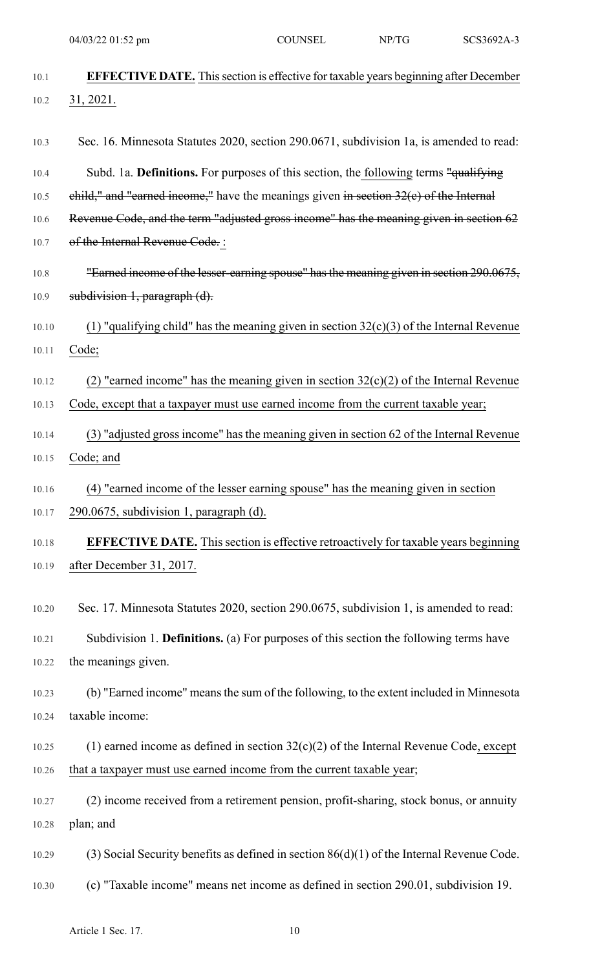| 10.1  | <b>EFFECTIVE DATE.</b> This section is effective for taxable years beginning after December |
|-------|---------------------------------------------------------------------------------------------|
| 10.2  | 31,2021.                                                                                    |
| 10.3  | Sec. 16. Minnesota Statutes 2020, section 290.0671, subdivision 1a, is amended to read:     |
| 10.4  | Subd. 1a. Definitions. For purposes of this section, the following terms "qualifying        |
| 10.5  | $child,"$ and "earned income," have the meanings given in section $32(e)$ of the Internal   |
| 10.6  | Revenue Code, and the term "adjusted gross income" has the meaning given in section 62      |
| 10.7  | of the Internal Revenue Code. :                                                             |
| 10.8  | "Earned income of the lesser-earning spouse" has the meaning given in section 290.0675,     |
| 10.9  | subdivision 1, paragraph (d).                                                               |
| 10.10 | (1) "qualifying child" has the meaning given in section $32(c)(3)$ of the Internal Revenue  |
| 10.11 | Code;                                                                                       |
| 10.12 | (2) "earned income" has the meaning given in section $32(c)(2)$ of the Internal Revenue     |
| 10.13 | Code, except that a taxpayer must use earned income from the current taxable year;          |
| 10.14 | (3) "adjusted gross income" has the meaning given in section 62 of the Internal Revenue     |
| 10.15 | Code; and                                                                                   |
| 10.16 | (4) "earned income of the lesser earning spouse" has the meaning given in section           |
| 10.17 | 290.0675, subdivision 1, paragraph (d).                                                     |
| 10.18 | <b>EFFECTIVE DATE.</b> This section is effective retroactively for taxable years beginning  |
| 10.19 | after December 31, 2017.                                                                    |
| 10.20 | Sec. 17. Minnesota Statutes 2020, section 290.0675, subdivision 1, is amended to read:      |
| 10.21 | Subdivision 1. Definitions. (a) For purposes of this section the following terms have       |
| 10.22 | the meanings given.                                                                         |
| 10.23 | (b) "Earned income" means the sum of the following, to the extent included in Minnesota     |
| 10.24 | taxable income:                                                                             |
| 10.25 | (1) earned income as defined in section $32(c)(2)$ of the Internal Revenue Code, except     |
| 10.26 | that a taxpayer must use earned income from the current taxable year;                       |
| 10.27 | (2) income received from a retirement pension, profit-sharing, stock bonus, or annuity      |
| 10.28 | plan; and                                                                                   |
| 10.29 | (3) Social Security benefits as defined in section $86(d)(1)$ of the Internal Revenue Code. |
| 10.30 | (c) "Taxable income" means net income as defined in section 290.01, subdivision 19.         |

Article 1 Sec. 17. 10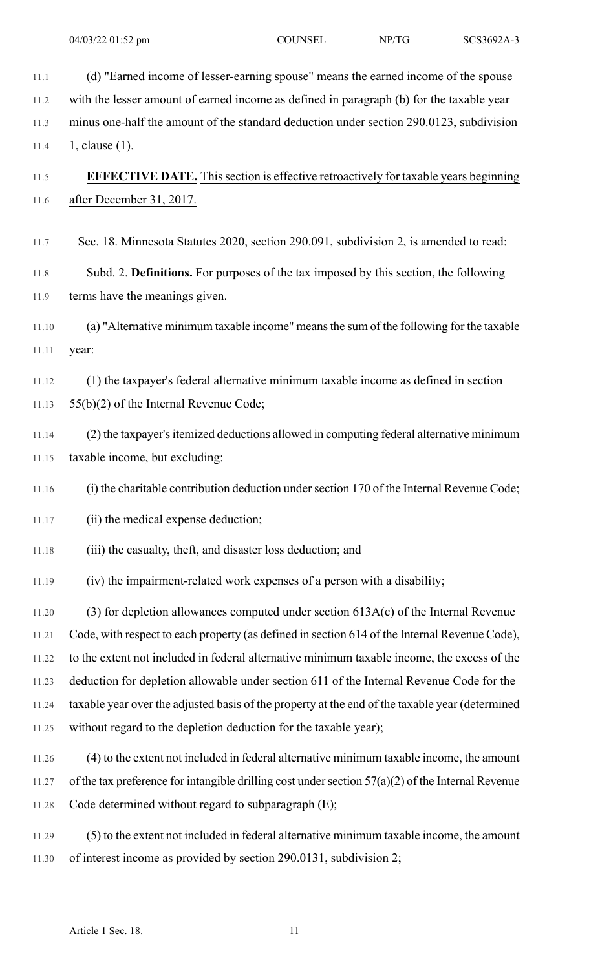11.1 (d) "Earned income of lesser-earning spouse" means the earned income of the spouse 11.2 with the lesser amount of earned income as defined in paragraph (b) for the taxable year 11.3 minus one-half the amount of the standard deduction under section 290.0123, subdivision 11.4 1, clause (1). 11.5 **EFFECTIVE DATE.** This section is effective retroactively for taxable years beginning 11.6 after December 31, 2017. 11.7 Sec. 18. Minnesota Statutes 2020, section 290.091, subdivision 2, is amended to read: 11.8 Subd. 2. **Definitions.** For purposes of the tax imposed by this section, the following 11.9 terms have the meanings given. 11.10 (a) "Alternative minimum taxable income" meansthe sum of the following for the taxable 11.11 year: 11.12 (1) the taxpayer's federal alternative minimum taxable income as defined in section 11.13 55(b)(2) of the Internal Revenue Code; 11.14 (2) the taxpayer's itemized deductions allowed in computing federal alternative minimum 11.15 taxable income, but excluding: 11.16 (i) the charitable contribution deduction undersection 170 of the Internal Revenue Code; 11.17 (ii) the medical expense deduction; 11.18 (iii) the casualty, theft, and disaster loss deduction; and 11.19 (iv) the impairment-related work expenses of a person with a disability; 11.20 (3) for depletion allowances computed under section 613A(c) of the Internal Revenue 11.21 Code, with respect to each property (as defined in section 614 of the Internal Revenue Code), 11.22 to the extent not included in federal alternative minimum taxable income, the excess of the 11.23 deduction for depletion allowable under section 611 of the Internal Revenue Code for the 11.24 taxable year over the adjusted basis of the property at the end of the taxable year (determined 11.25 without regard to the depletion deduction for the taxable year); 11.26 (4) to the extent not included in federal alternative minimum taxable income, the amount 11.27 of the tax preference for intangible drilling cost under section  $57(a)(2)$  of the Internal Revenue 11.28 Code determined without regard to subparagraph (E); 11.29 (5) to the extent not included in federal alternative minimum taxable income, the amount 11.30 of interest income as provided by section 290.0131, subdivision 2;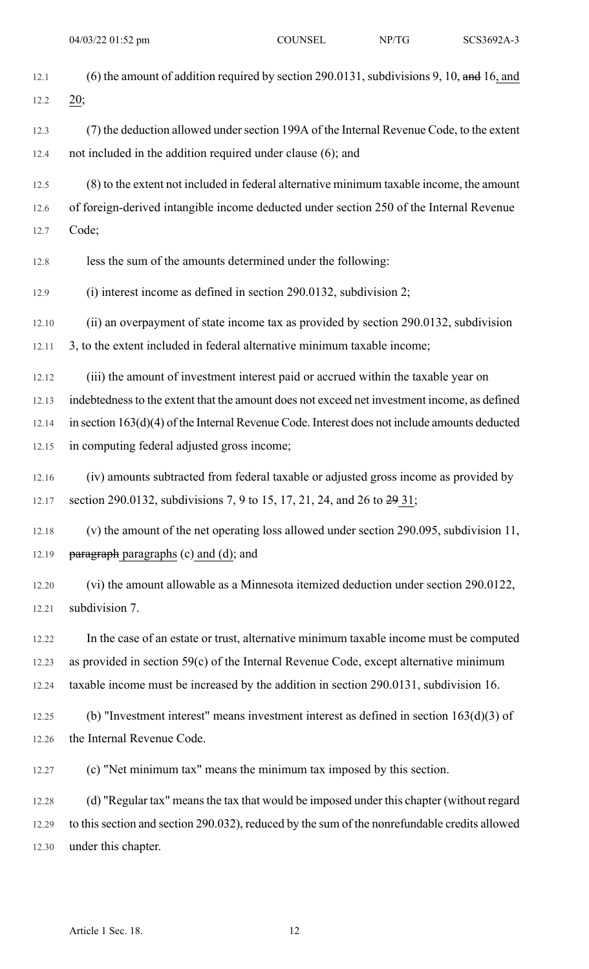| 12.1  | (6) the amount of addition required by section 290.0131, subdivisions 9, 10, and 16, and        |
|-------|-------------------------------------------------------------------------------------------------|
| 12.2  | 20;                                                                                             |
| 12.3  | (7) the deduction allowed under section 199A of the Internal Revenue Code, to the extent        |
| 12.4  | not included in the addition required under clause (6); and                                     |
| 12.5  | (8) to the extent not included in federal alternative minimum taxable income, the amount        |
| 12.6  | of foreign-derived intangible income deducted under section 250 of the Internal Revenue         |
| 12.7  | Code;                                                                                           |
| 12.8  | less the sum of the amounts determined under the following:                                     |
| 12.9  | $(i)$ interest income as defined in section 290.0132, subdivision 2;                            |
| 12.10 | (ii) an overpayment of state income tax as provided by section 290.0132, subdivision            |
| 12.11 | 3, to the extent included in federal alternative minimum taxable income;                        |
| 12.12 | (iii) the amount of investment interest paid or accrued within the taxable year on              |
| 12.13 | indebtedness to the extent that the amount does not exceed net investment income, as defined    |
| 12.14 | in section $163(d)(4)$ of the Internal Revenue Code. Interest does not include amounts deducted |
| 12.15 | in computing federal adjusted gross income;                                                     |
| 12.16 | (iv) amounts subtracted from federal taxable or adjusted gross income as provided by            |
| 12.17 | section 290.0132, subdivisions 7, 9 to 15, 17, 21, 24, and 26 to 29 31;                         |
| 12.18 | (v) the amount of the net operating loss allowed under section 290.095, subdivision 11,         |
| 12.19 | paragraph paragraphs (c) and (d); and                                                           |
| 12.20 | (vi) the amount allowable as a Minnesota itemized deduction under section 290.0122,             |
| 12.21 | subdivision 7.                                                                                  |
| 12.22 | In the case of an estate or trust, alternative minimum taxable income must be computed          |
| 12.23 | as provided in section 59(c) of the Internal Revenue Code, except alternative minimum           |
| 12.24 | taxable income must be increased by the addition in section 290.0131, subdivision 16.           |
| 12.25 | (b) "Investment interest" means investment interest as defined in section $163(d)(3)$ of        |
| 12.26 | the Internal Revenue Code.                                                                      |
| 12.27 | (c) "Net minimum tax" means the minimum tax imposed by this section.                            |
| 12.28 | (d) "Regular tax" means the tax that would be imposed under this chapter (without regard        |
| 12.29 | to this section and section 290.032), reduced by the sum of the nonrefundable credits allowed   |
| 12.30 | under this chapter.                                                                             |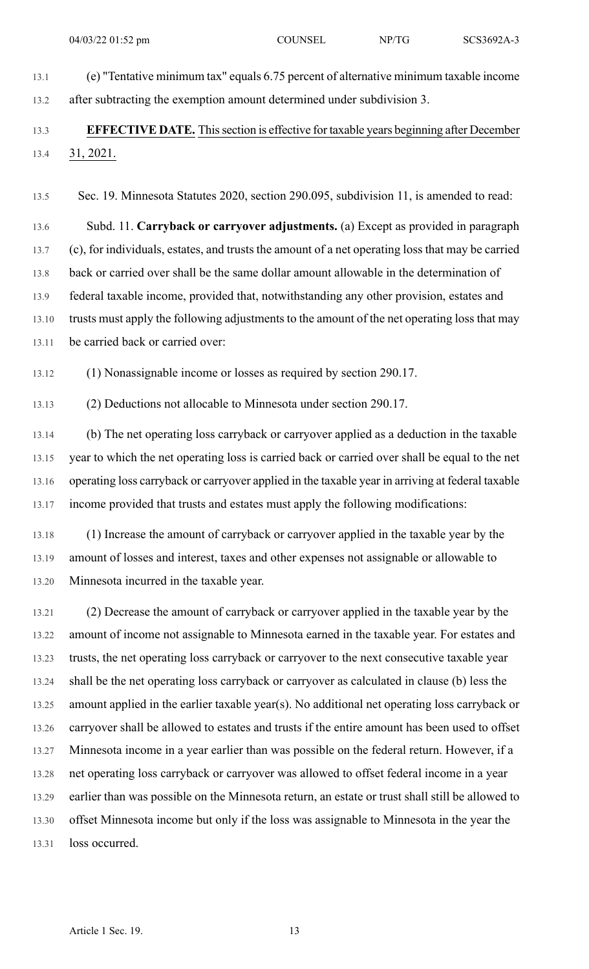13.1 (e) "Tentative minimum tax" equals 6.75 percent of alternative minimum taxable income 13.2 after subtracting the exemption amount determined under subdivision 3.

#### 13.3 **EFFECTIVE DATE.** Thissection is effective for taxable years beginning after December 13.4 31, 2021.

13.5 Sec. 19. Minnesota Statutes 2020, section 290.095, subdivision 11, is amended to read:

13.6 Subd. 11. **Carryback or carryover adjustments.** (a) Except as provided in paragraph 13.7 (c), for individuals, estates, and trusts the amount of a net operating loss that may be carried 13.8 back or carried over shall be the same dollar amount allowable in the determination of 13.9 federal taxable income, provided that, notwithstanding any other provision, estates and 13.10 trusts must apply the following adjustments to the amount of the net operating loss that may 13.11 be carried back or carried over:

13.12 (1) Nonassignable income or losses as required by section 290.17.

13.13 (2) Deductions not allocable to Minnesota under section 290.17.

13.14 (b) The net operating loss carryback or carryover applied as a deduction in the taxable 13.15 year to which the net operating loss is carried back or carried over shall be equal to the net 13.16 operating loss carryback or carryover applied in the taxable year in arriving at federal taxable 13.17 income provided that trusts and estates must apply the following modifications:

13.18 (1) Increase the amount of carryback or carryover applied in the taxable year by the 13.19 amount of losses and interest, taxes and other expenses not assignable or allowable to 13.20 Minnesota incurred in the taxable year.

13.21 (2) Decrease the amount of carryback or carryover applied in the taxable year by the 13.22 amount of income not assignable to Minnesota earned in the taxable year. For estates and 13.23 trusts, the net operating loss carryback or carryover to the next consecutive taxable year 13.24 shall be the net operating loss carryback or carryover as calculated in clause (b) less the 13.25 amount applied in the earlier taxable year(s). No additional net operating loss carryback or 13.26 carryover shall be allowed to estates and trusts if the entire amount has been used to offset 13.27 Minnesota income in a year earlier than was possible on the federal return. However, if a 13.28 net operating loss carryback or carryover was allowed to offset federal income in a year 13.29 earlier than was possible on the Minnesota return, an estate or trust shall still be allowed to 13.30 offset Minnesota income but only if the loss was assignable to Minnesota in the year the 13.31 loss occurred.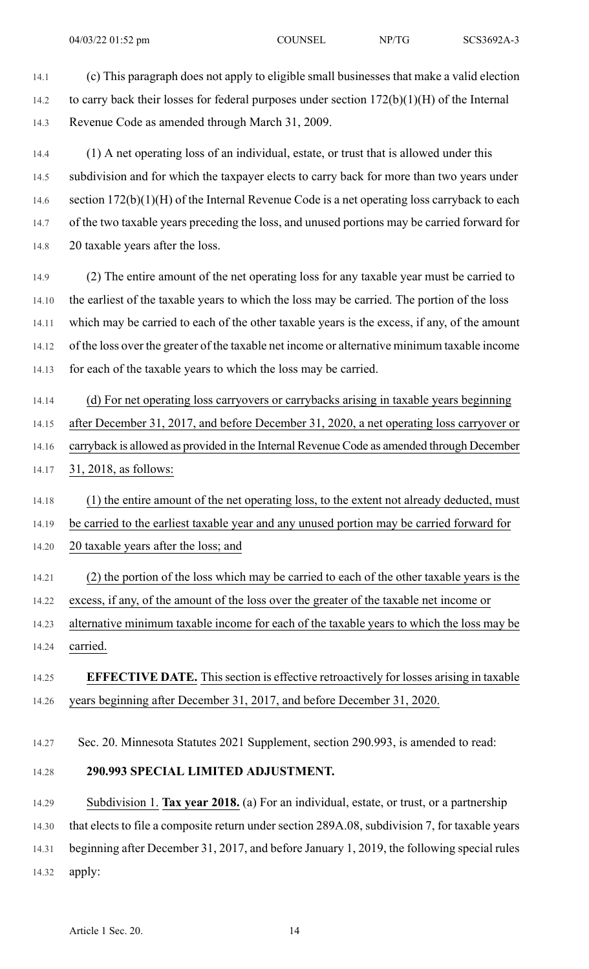14.1 (c) This paragraph does not apply to eligible small businesses that make a valid election 14.2 to carry back their losses for federal purposes under section 172(b)(1)(H) of the Internal 14.3 Revenue Code as amended through March 31, 2009.

14.4 (1) A net operating loss of an individual, estate, or trust that is allowed under this 14.5 subdivision and for which the taxpayer elects to carry back for more than two years under 14.6 section 172(b)(1)(H) of the Internal Revenue Code is a net operating loss carryback to each 14.7 of the two taxable years preceding the loss, and unused portions may be carried forward for 14.8 20 taxable years after the loss.

14.9 (2) The entire amount of the net operating loss for any taxable year must be carried to 14.10 the earliest of the taxable years to which the loss may be carried. The portion of the loss 14.11 which may be carried to each of the other taxable years is the excess, if any, of the amount 14.12 of the loss over the greater of the taxable net income or alternative minimum taxable income 14.13 for each of the taxable years to which the loss may be carried.

14.14 (d) For net operating loss carryovers or carrybacks arising in taxable years beginning 14.15 after December 31, 2017, and before December 31, 2020, a net operating loss carryover or 14.16 carryback is allowed as provided in the Internal Revenue Code as amended through December

14.17 31, 2018, as follows:

14.18 (1) the entire amount of the net operating loss, to the extent not already deducted, must

14.19 be carried to the earliest taxable year and any unused portion may be carried forward for

14.20 20 taxable years after the loss; and

14.21 (2) the portion of the loss which may be carried to each of the other taxable years is the 14.22 excess, if any, of the amount of the loss over the greater of the taxable net income or

14.23 alternative minimum taxable income for each of the taxable years to which the loss may be 14.24 carried.

#### 14.25 **EFFECTIVE DATE.** This section is effective retroactively for losses arising in taxable 14.26 years beginning after December 31, 2017, and before December 31, 2020.

14.27 Sec. 20. Minnesota Statutes 2021 Supplement, section 290.993, is amended to read:

#### 14.28 **290.993 SPECIAL LIMITED ADJUSTMENT.**

14.29 Subdivision 1. **Tax year 2018.** (a) For an individual, estate, or trust, or a partnership 14.30 that elects to file a composite return under section 289A.08, subdivision 7, for taxable years 14.31 beginning after December 31, 2017, and before January 1, 2019, the following special rules

14.32 apply: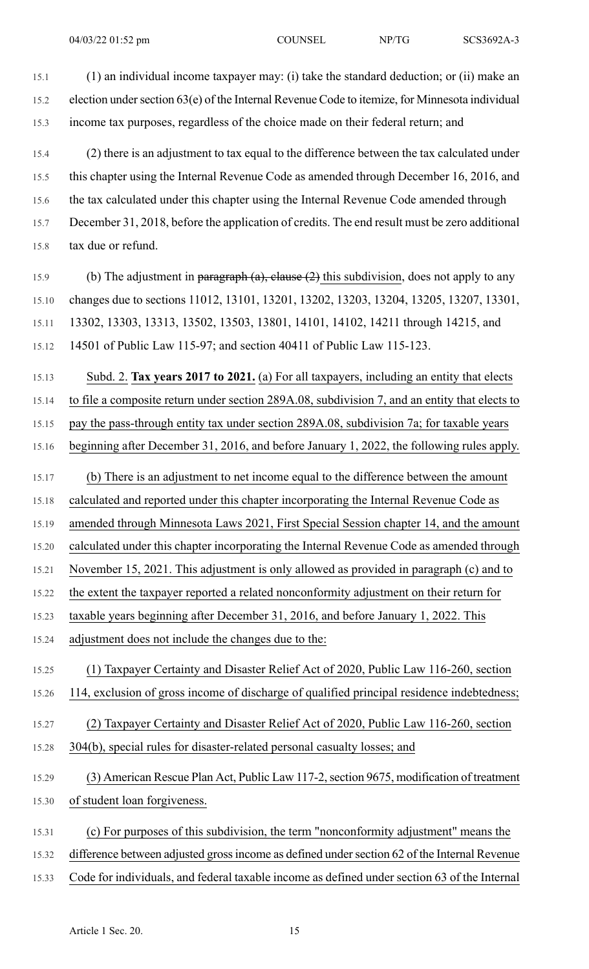15.1 (1) an individual income taxpayer may: (i) take the standard deduction; or (ii) make an 15.2 election undersection 63(e) of the Internal Revenue Code to itemize, for Minnesota individual 15.3 income tax purposes, regardless of the choice made on their federal return; and 15.4 (2) there is an adjustment to tax equal to the difference between the tax calculated under 15.5 this chapter using the Internal Revenue Code as amended through December 16, 2016, and 15.6 the tax calculated under this chapter using the Internal Revenue Code amended through 15.7 December 31, 2018, before the application of credits. The end result must be zero additional 15.8 tax due or refund. 15.9 (b) The adjustment in paragraph  $(a)$ , clause  $(2)$  this subdivision, does not apply to any 15.10 changes due to sections 11012, 13101, 13201, 13202, 13203, 13204, 13205, 13207, 13301, 15.11 13302, 13303, 13313, 13502, 13503, 13801, 14101, 14102, 14211 through 14215, and 15.12 14501 of Public Law 115-97; and section 40411 of Public Law 115-123. 15.13 Subd. 2. **Tax years 2017 to 2021.** (a) For all taxpayers, including an entity that elects 15.14 to file a composite return under section 289A.08, subdivision 7, and an entity that elects to 15.15 pay the pass-through entity tax under section 289A.08, subdivision 7a; for taxable years 15.16 beginning after December 31, 2016, and before January 1, 2022, the following rules apply. 15.17 (b) There is an adjustment to net income equal to the difference between the amount 15.18 calculated and reported under this chapter incorporating the Internal Revenue Code as 15.19 amended through Minnesota Laws 2021, First Special Session chapter 14, and the amount 15.20 calculated under this chapter incorporating the Internal Revenue Code as amended through 15.21 November 15, 2021. This adjustment is only allowed as provided in paragraph (c) and to 15.22 the extent the taxpayer reported a related nonconformity adjustment on their return for 15.23 taxable years beginning after December 31, 2016, and before January 1, 2022. This 15.24 adjustment does not include the changes due to the: 15.25 (1) Taxpayer Certainty and Disaster Relief Act of 2020, Public Law 116-260, section 15.26 114, exclusion of gross income of discharge of qualified principal residence indebtedness; 15.27 (2) Taxpayer Certainty and Disaster Relief Act of 2020, Public Law 116-260, section 15.28 304(b), special rules for disaster-related personal casualty losses; and 15.29 (3) American Rescue Plan Act, Public Law 117-2, section 9675, modification of treatment 15.30 of student loan forgiveness. 15.31 (c) For purposes of this subdivision, the term "nonconformity adjustment" means the 15.32 difference between adjusted grossincome as defined undersection 62 of the Internal Revenue 15.33 Code for individuals, and federal taxable income as defined under section 63 of the Internal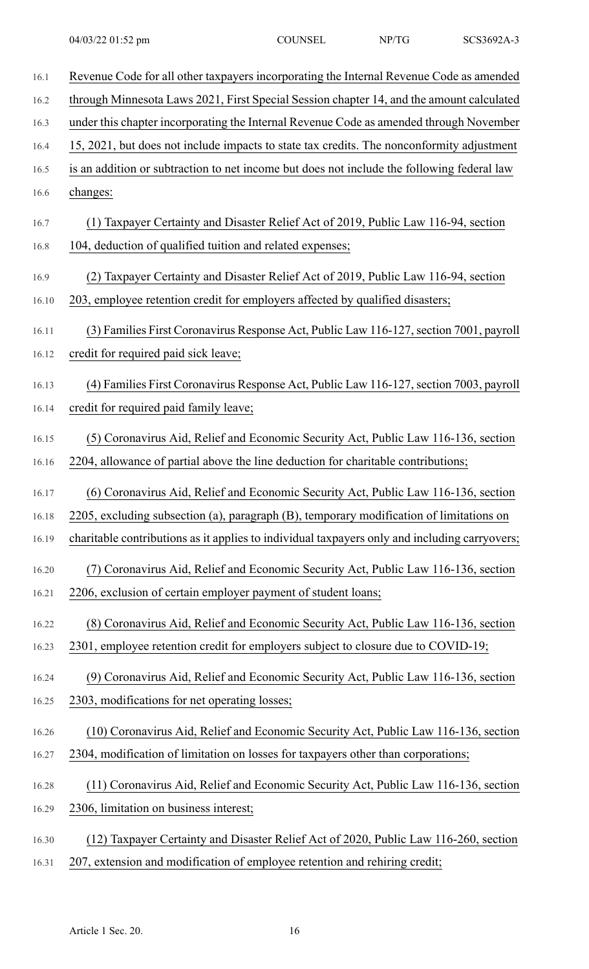| 16.1  | Revenue Code for all other taxpayers incorporating the Internal Revenue Code as amended       |
|-------|-----------------------------------------------------------------------------------------------|
| 16.2  | through Minnesota Laws 2021, First Special Session chapter 14, and the amount calculated      |
| 16.3  | under this chapter incorporating the Internal Revenue Code as amended through November        |
| 16.4  | 15, 2021, but does not include impacts to state tax credits. The nonconformity adjustment     |
| 16.5  | is an addition or subtraction to net income but does not include the following federal law    |
| 16.6  | changes:                                                                                      |
| 16.7  | (1) Taxpayer Certainty and Disaster Relief Act of 2019, Public Law 116-94, section            |
| 16.8  | 104, deduction of qualified tuition and related expenses;                                     |
| 16.9  | (2) Taxpayer Certainty and Disaster Relief Act of 2019, Public Law 116-94, section            |
| 16.10 | 203, employee retention credit for employers affected by qualified disasters;                 |
| 16.11 | (3) Families First Coronavirus Response Act, Public Law 116-127, section 7001, payroll        |
| 16.12 | credit for required paid sick leave;                                                          |
| 16.13 | (4) Families First Coronavirus Response Act, Public Law 116-127, section 7003, payroll        |
| 16.14 | credit for required paid family leave;                                                        |
| 16.15 | (5) Coronavirus Aid, Relief and Economic Security Act, Public Law 116-136, section            |
| 16.16 | 2204, allowance of partial above the line deduction for charitable contributions;             |
| 16.17 | (6) Coronavirus Aid, Relief and Economic Security Act, Public Law 116-136, section            |
| 16.18 | 2205, excluding subsection (a), paragraph (B), temporary modification of limitations on       |
| 16.19 | charitable contributions as it applies to individual taxpayers only and including carryovers; |
| 16.20 | (7) Coronavirus Aid, Relief and Economic Security Act, Public Law 116-136, section            |
| 16.21 | 2206, exclusion of certain employer payment of student loans;                                 |
| 16.22 | (8) Coronavirus Aid, Relief and Economic Security Act, Public Law 116-136, section            |
| 16.23 | 2301, employee retention credit for employers subject to closure due to COVID-19;             |
| 16.24 | (9) Coronavirus Aid, Relief and Economic Security Act, Public Law 116-136, section            |
| 16.25 | 2303, modifications for net operating losses;                                                 |
| 16.26 | (10) Coronavirus Aid, Relief and Economic Security Act, Public Law 116-136, section           |
| 16.27 | 2304, modification of limitation on losses for taxpayers other than corporations;             |
| 16.28 | (11) Coronavirus Aid, Relief and Economic Security Act, Public Law 116-136, section           |
| 16.29 | 2306, limitation on business interest;                                                        |
| 16.30 | (12) Taxpayer Certainty and Disaster Relief Act of 2020, Public Law 116-260, section          |
| 16.31 | 207, extension and modification of employee retention and rehiring credit;                    |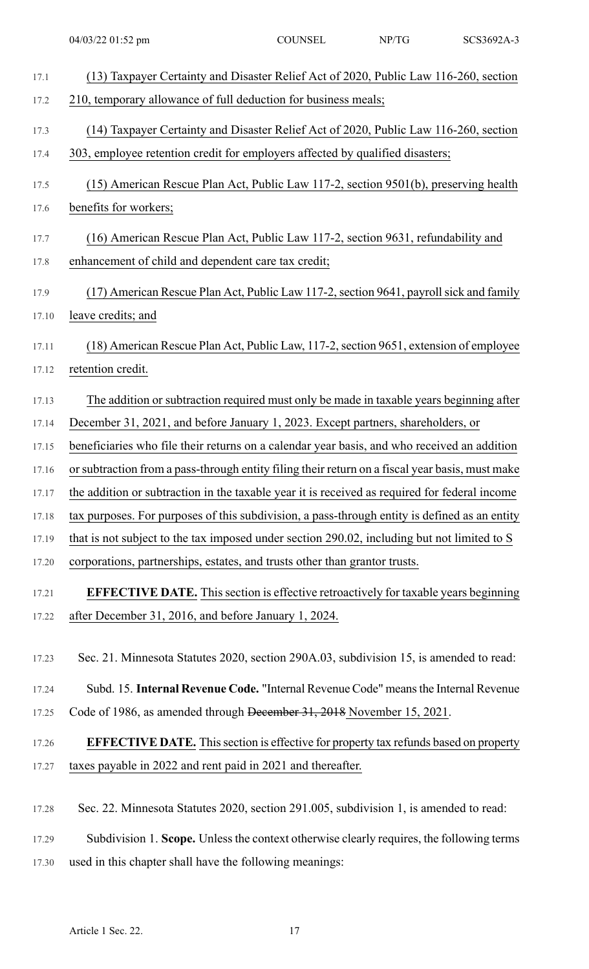| 17.1  | (13) Taxpayer Certainty and Disaster Relief Act of 2020, Public Law 116-260, section            |
|-------|-------------------------------------------------------------------------------------------------|
| 17.2  | 210, temporary allowance of full deduction for business meals;                                  |
|       |                                                                                                 |
| 17.3  | (14) Taxpayer Certainty and Disaster Relief Act of 2020, Public Law 116-260, section            |
| 17.4  | 303, employee retention credit for employers affected by qualified disasters;                   |
| 17.5  | (15) American Rescue Plan Act, Public Law 117-2, section 9501(b), preserving health             |
| 17.6  | benefits for workers;                                                                           |
| 17.7  | (16) American Rescue Plan Act, Public Law 117-2, section 9631, refundability and                |
| 17.8  | enhancement of child and dependent care tax credit;                                             |
| 17.9  | (17) American Rescue Plan Act, Public Law 117-2, section 9641, payroll sick and family          |
| 17.10 | leave credits; and                                                                              |
| 17.11 | (18) American Rescue Plan Act, Public Law, 117-2, section 9651, extension of employee           |
| 17.12 | retention credit.                                                                               |
| 17.13 | The addition or subtraction required must only be made in taxable years beginning after         |
| 17.14 | December 31, 2021, and before January 1, 2023. Except partners, shareholders, or                |
| 17.15 | beneficiaries who file their returns on a calendar year basis, and who received an addition     |
| 17.16 | or subtraction from a pass-through entity filing their return on a fiscal year basis, must make |
| 17.17 | the addition or subtraction in the taxable year it is received as required for federal income   |
| 17.18 | tax purposes. For purposes of this subdivision, a pass-through entity is defined as an entity   |
| 17.19 | that is not subject to the tax imposed under section 290.02, including but not limited to S     |
| 17.20 | corporations, partnerships, estates, and trusts other than grantor trusts.                      |
| 17.21 | <b>EFFECTIVE DATE.</b> This section is effective retroactively for taxable years beginning      |
| 17.22 | after December 31, 2016, and before January 1, 2024.                                            |
|       |                                                                                                 |
| 17.23 | Sec. 21. Minnesota Statutes 2020, section 290A.03, subdivision 15, is amended to read:          |
| 17.24 | Subd. 15. Internal Revenue Code. "Internal Revenue Code" means the Internal Revenue             |
| 17.25 | Code of 1986, as amended through December 31, 2018 November 15, 2021.                           |
| 17.26 | <b>EFFECTIVE DATE.</b> This section is effective for property tax refunds based on property     |
| 17.27 | taxes payable in 2022 and rent paid in 2021 and thereafter.                                     |
|       |                                                                                                 |
| 17.28 | Sec. 22. Minnesota Statutes 2020, section 291.005, subdivision 1, is amended to read:           |

17.29 Subdivision 1. **Scope.** Unlessthe context otherwise clearly requires, the following terms

17.30 used in this chapter shall have the following meanings: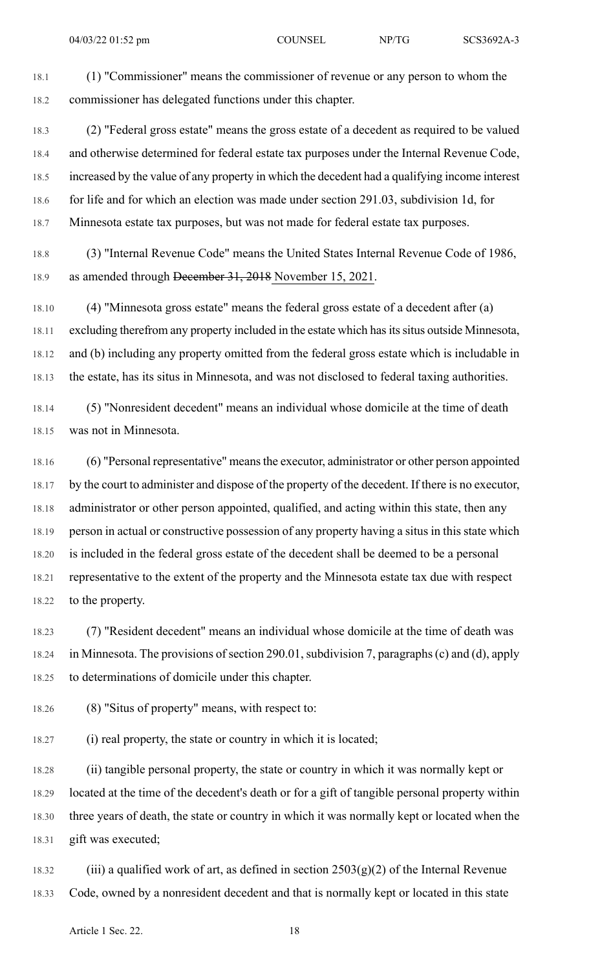18.1 (1) "Commissioner" means the commissioner of revenue or any person to whom the 18.2 commissioner has delegated functions under this chapter.

18.3 (2) "Federal gross estate" means the gross estate of a decedent as required to be valued 18.4 and otherwise determined for federal estate tax purposes under the Internal Revenue Code, 18.5 increased by the value of any property in which the decedent had a qualifying income interest 18.6 for life and for which an election was made under section 291.03, subdivision 1d, for 18.7 Minnesota estate tax purposes, but was not made for federal estate tax purposes.

18.8 (3) "Internal Revenue Code" means the United States Internal Revenue Code of 1986, 18.9 as amended through December 31, 2018 November 15, 2021.

18.10 (4) "Minnesota gross estate" means the federal gross estate of a decedent after (a) 18.11 excluding therefrom any property included in the estate which has its situs outside Minnesota, 18.12 and (b) including any property omitted from the federal gross estate which is includable in 18.13 the estate, has its situs in Minnesota, and was not disclosed to federal taxing authorities.

18.14 (5) "Nonresident decedent" means an individual whose domicile at the time of death 18.15 was not in Minnesota.

18.16 (6) "Personal representative" meansthe executor, administrator or other person appointed 18.17 by the court to administer and dispose of the property of the decedent. If there is no executor, 18.18 administrator or other person appointed, qualified, and acting within this state, then any 18.19 person in actual or constructive possession of any property having a situs in this state which 18.20 is included in the federal gross estate of the decedent shall be deemed to be a personal 18.21 representative to the extent of the property and the Minnesota estate tax due with respect 18.22 to the property.

18.23 (7) "Resident decedent" means an individual whose domicile at the time of death was 18.24 in Minnesota. The provisions of section 290.01, subdivision 7, paragraphs (c) and (d), apply 18.25 to determinations of domicile under this chapter.

18.26 (8) "Situs of property" means, with respect to:

18.27 (i) real property, the state or country in which it is located;

18.28 (ii) tangible personal property, the state or country in which it was normally kept or 18.29 located at the time of the decedent's death or for a gift of tangible personal property within 18.30 three years of death, the state or country in which it was normally kept or located when the 18.31 gift was executed;

18.32 (iii) a qualified work of art, as defined in section  $2503(g)(2)$  of the Internal Revenue 18.33 Code, owned by a nonresident decedent and that is normally kept or located in this state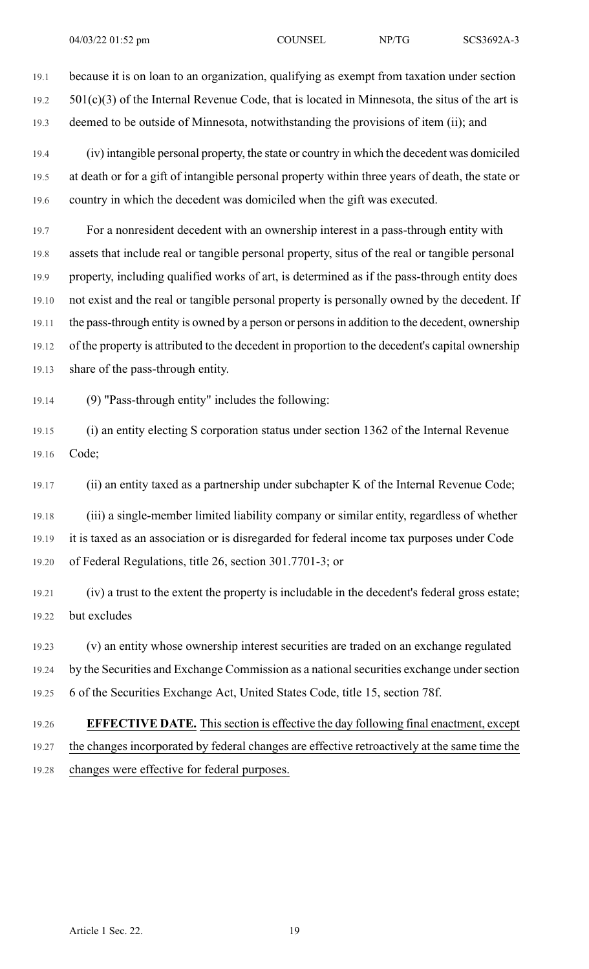19.1 because it is on loan to an organization, qualifying as exempt from taxation under section  $19.2$   $501(c)(3)$  of the Internal Revenue Code, that is located in Minnesota, the situs of the art is 19.3 deemed to be outside of Minnesota, notwithstanding the provisions of item (ii); and

19.4 (iv) intangible personal property, the state or country in which the decedent was domiciled 19.5 at death or for a gift of intangible personal property within three years of death, the state or 19.6 country in which the decedent was domiciled when the gift was executed.

19.7 For a nonresident decedent with an ownership interest in a pass-through entity with 19.8 assets that include real or tangible personal property, situs of the real or tangible personal 19.9 property, including qualified works of art, is determined as if the pass-through entity does 19.10 not exist and the real or tangible personal property is personally owned by the decedent. If 19.11 the pass-through entity is owned by a person or personsin addition to the decedent, ownership 19.12 of the property is attributed to the decedent in proportion to the decedent's capital ownership 19.13 share of the pass-through entity.

19.14 (9) "Pass-through entity" includes the following:

19.15 (i) an entity electing S corporation status under section 1362 of the Internal Revenue 19.16 Code;

19.17 (ii) an entity taxed as a partnership under subchapter K of the Internal Revenue Code;

19.18 (iii) a single-member limited liability company or similar entity, regardless of whether 19.19 it is taxed as an association or is disregarded for federal income tax purposes under Code 19.20 of Federal Regulations, title 26, section 301.7701-3; or

19.21 (iv) a trust to the extent the property is includable in the decedent's federal gross estate; 19.22 but excludes

19.23 (v) an entity whose ownership interest securities are traded on an exchange regulated 19.24 by the Securities and Exchange Commission as a national securities exchange under section 19.25 6 of the Securities Exchange Act, United States Code, title 15, section 78f.

19.26 **EFFECTIVE DATE.** Thissection is effective the day following final enactment, except 19.27 the changes incorporated by federal changes are effective retroactively at the same time the

19.28 changes were effective for federal purposes.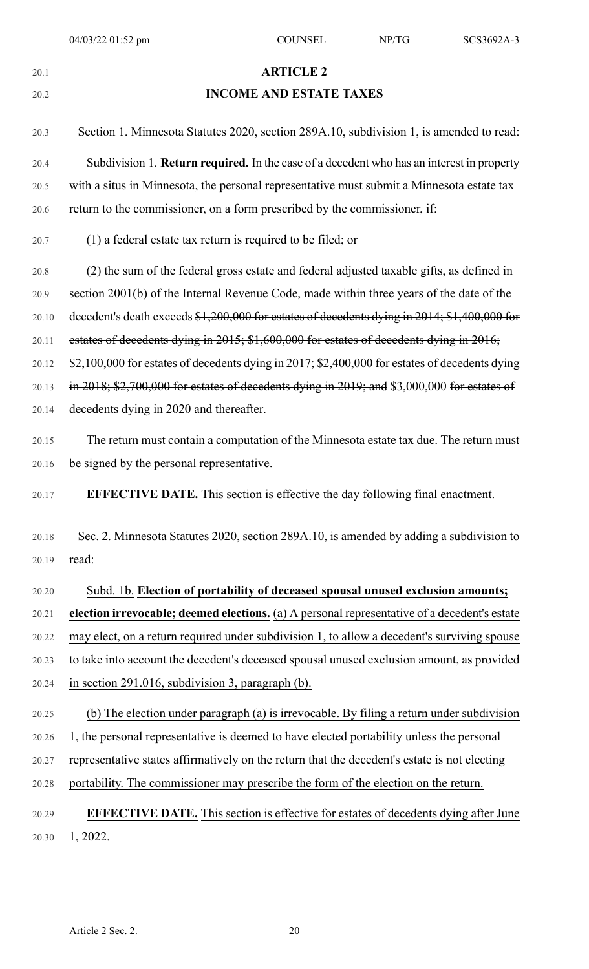| v |         |  |  |
|---|---------|--|--|
| ٧ | I<br>۰. |  |  |

#### 20.1 **ARTICLE 2**

#### 20.2 **INCOME AND ESTATE TAXES**

20.3 Section 1. Minnesota Statutes 2020, section 289A.10, subdivision 1, is amended to read: 20.4 Subdivision 1. **Return required.** In the case of a decedent who has an interest in property 20.5 with a situs in Minnesota, the personal representative must submit a Minnesota estate tax 20.6 return to the commissioner, on a form prescribed by the commissioner, if:

20.7 (1) a federal estate tax return is required to be filed; or

20.8 (2) the sum of the federal gross estate and federal adjusted taxable gifts, as defined in 20.9 section 2001(b) of the Internal Revenue Code, made within three years of the date of the 20.10 decedent's death exceeds \$1,200,000 for estates of decedents dying in 2014; \$1,400,000 for 20.11 estates of decedents dying in 2015; \$1,600,000 for estates of decedents dying in 2016; 20.12 \$2,100,000 for estates of decedents dying in 2017; \$2,400,000 for estates of decedents dying 20.13 in 2018; \$2,700,000 for estates of decedents dying in 2019; and \$3,000,000 for estates of 20.14 decedents dying in 2020 and thereafter.

- 20.15 The return must contain a computation of the Minnesota estate tax due. The return must 20.16 be signed by the personal representative.
- 20.17 **EFFECTIVE DATE.** This section is effective the day following final enactment.
- 20.18 Sec. 2. Minnesota Statutes 2020, section 289A.10, is amended by adding a subdivision to 20.19 read:

# 20.20 Subd. 1b. **Election of portability of deceased spousal unused exclusion amounts;** 20.21 **election irrevocable; deemed elections.** (a) A personal representative of a decedent's estate 20.22 may elect, on a return required under subdivision 1, to allow a decedent's surviving spouse 20.23 to take into account the decedent's deceased spousal unused exclusion amount, as provided 20.24 in section 291.016, subdivision 3, paragraph (b).

- 20.25 (b) The election under paragraph (a) is irrevocable. By filing a return under subdivision
- 20.26 1, the personal representative is deemed to have elected portability unless the personal
- 20.27 representative states affirmatively on the return that the decedent's estate is not electing
- 20.28 portability. The commissioner may prescribe the form of the election on the return.

#### 20.29 **EFFECTIVE DATE.** This section is effective for estates of decedents dying after June 20.30 1, 2022.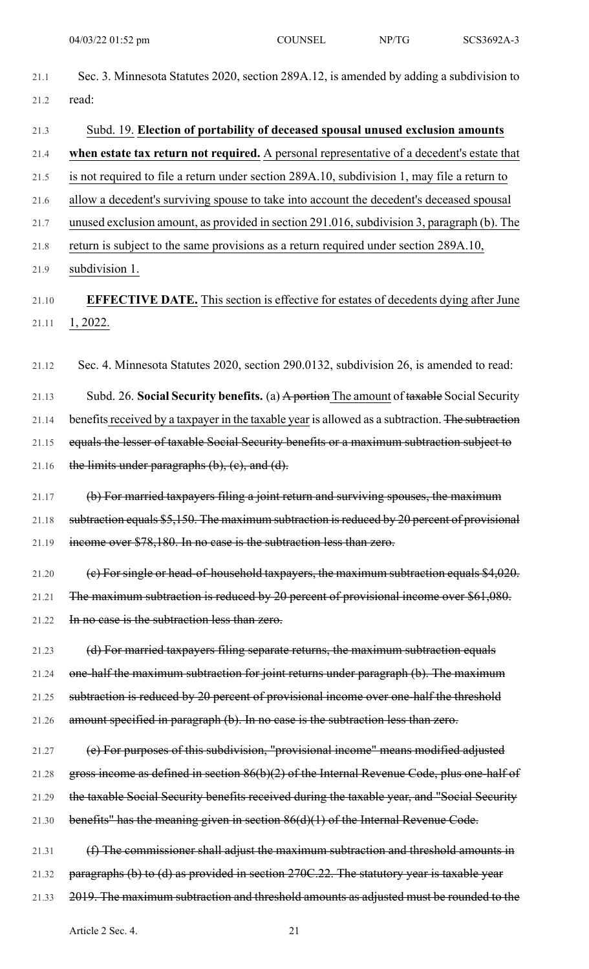21.1 Sec. 3. Minnesota Statutes 2020, section 289A.12, is amended by adding a subdivision to

| 21.2  | read:                                                                                            |
|-------|--------------------------------------------------------------------------------------------------|
| 21.3  | Subd. 19. Election of portability of deceased spousal unused exclusion amounts                   |
| 21.4  | when estate tax return not required. A personal representative of a decedent's estate that       |
| 21.5  | is not required to file a return under section 289A.10, subdivision 1, may file a return to      |
| 21.6  | allow a decedent's surviving spouse to take into account the decedent's deceased spousal         |
| 21.7  | unused exclusion amount, as provided in section 291.016, subdivision 3, paragraph (b). The       |
| 21.8  | return is subject to the same provisions as a return required under section 289A.10,             |
| 21.9  | subdivision 1.                                                                                   |
| 21.10 | <b>EFFECTIVE DATE.</b> This section is effective for estates of decedents dying after June       |
| 21.11 | 1, 2022.                                                                                         |
| 21.12 | Sec. 4. Minnesota Statutes 2020, section 290.0132, subdivision 26, is amended to read:           |
| 21.13 | Subd. 26. Social Security benefits. (a) A portion The amount of taxable Social Security          |
| 21.14 | benefits received by a taxpayer in the taxable year is allowed as a subtraction. The subtraction |
| 21.15 | equals the lesser of taxable Social Security benefits or a maximum subtraction subject to        |
| 21.16 | the limits under paragraphs $(b)$ , $(c)$ , and $(d)$ .                                          |
| 21.17 | (b) For married taxpayers filing a joint return and surviving spouses, the maximum               |
| 21.18 | subtraction equals \$5,150. The maximum subtraction is reduced by 20 percent of provisional      |
| 21.19 | income over \$78,180. In no case is the subtraction less than zero.                              |
| 21.20 | (e) For single or head-of-household taxpayers, the maximum subtraction equals \$4,020.           |
| 21.21 | The maximum subtraction is reduced by 20 percent of provisional income over \$61,080.            |
| 21.22 | In no case is the subtraction less than zero.                                                    |
| 21.23 | (d) For married taxpayers filing separate returns, the maximum subtraction equals                |
| 21.24 | one-half the maximum subtraction for joint returns under paragraph (b). The maximum              |
| 21.25 | subtraction is reduced by 20 percent of provisional income over one-half the threshold           |
| 21.26 | amount specified in paragraph (b). In no case is the subtraction less than zero.                 |
| 21.27 | (e) For purposes of this subdivision, "provisional income" means modified adjusted               |
| 21.28 | gross income as defined in section 86(b)(2) of the Internal Revenue Code, plus one-half of       |
| 21.29 | the taxable Social Security benefits received during the taxable year, and "Social Security      |
| 21.30 | benefits" has the meaning given in section $86(d)(1)$ of the Internal Revenue Code.              |
| 21.31 | (f) The commissioner shall adjust the maximum subtraction and threshold amounts in               |
| 21.32 | paragraphs (b) to (d) as provided in section 270C.22. The statutory year is taxable year         |
| 21.33 | 2019. The maximum subtraction and threshold amounts as adjusted must be rounded to the           |
|       |                                                                                                  |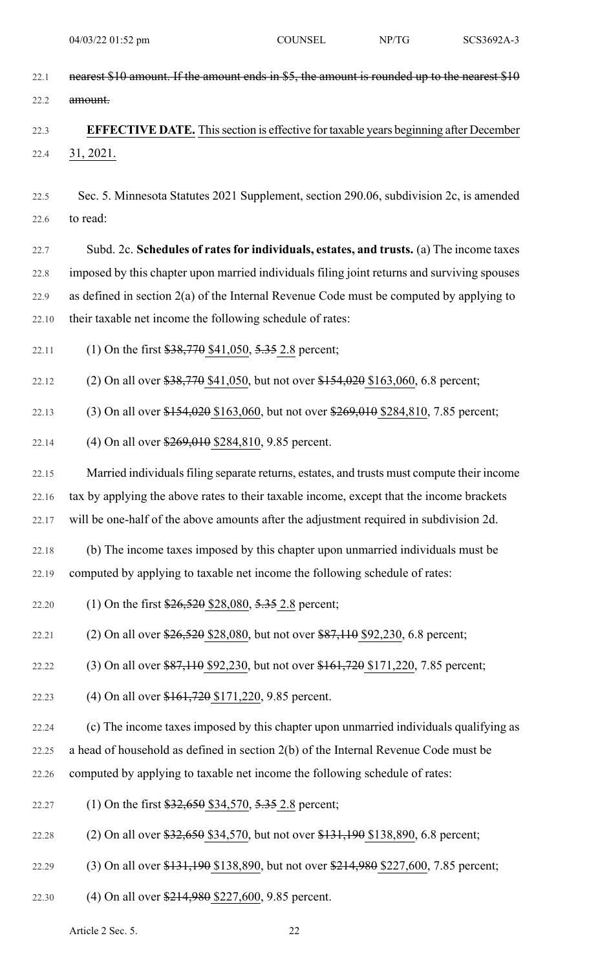| 22.1  | nearest \$10 amount. If the amount ends in \$5, the amount is rounded up to the nearest \$10     |
|-------|--------------------------------------------------------------------------------------------------|
| 22.2  | amount.                                                                                          |
| 22.3  | <b>EFFECTIVE DATE.</b> This section is effective for taxable years beginning after December      |
| 22.4  | 31, 2021.                                                                                        |
|       |                                                                                                  |
| 22.5  | Sec. 5. Minnesota Statutes 2021 Supplement, section 290.06, subdivision 2c, is amended           |
| 22.6  | to read:                                                                                         |
| 22.7  | Subd. 2c. Schedules of rates for individuals, estates, and trusts. (a) The income taxes          |
| 22.8  | imposed by this chapter upon married individuals filing joint returns and surviving spouses      |
| 22.9  | as defined in section $2(a)$ of the Internal Revenue Code must be computed by applying to        |
| 22.10 | their taxable net income the following schedule of rates:                                        |
| 22.11 | (1) On the first $$38,770$ \$41,050, $5.35$ 2.8 percent;                                         |
| 22.12 | (2) On all over $$38,770$ \$41,050, but not over $$154,020$ \$163,060, 6.8 percent;              |
| 22.13 | (3) On all over \$154,020 \$163,060, but not over \$269,010 \$284,810, 7.85 percent;             |
| 22.14 | (4) On all over \$269,010 \$284,810, 9.85 percent.                                               |
| 22.15 | Married individuals filing separate returns, estates, and trusts must compute their income       |
| 22.16 | tax by applying the above rates to their taxable income, except that the income brackets         |
| 22.17 | will be one-half of the above amounts after the adjustment required in subdivision 2d.           |
| 22.18 | (b) The income taxes imposed by this chapter upon unmarried individuals must be                  |
| 22.19 | computed by applying to taxable net income the following schedule of rates:                      |
| 22.20 | (1) On the first $\frac{$26,520}{$28,080, 5.35 2.8}$ percent;                                    |
| 22.21 | (2) On all over $\frac{$26,520}{$28,080}$ , but not over $\frac{$87,110}{$2,230}$ , 6.8 percent; |
| 22.22 | (3) On all over \$87,110 \$92,230, but not over \$161,720 \$171,220, 7.85 percent;               |
| 22.23 | (4) On all over \$161,720 \$171,220, 9.85 percent.                                               |
| 22.24 | (c) The income taxes imposed by this chapter upon unmarried individuals qualifying as            |
| 22.25 | a head of household as defined in section 2(b) of the Internal Revenue Code must be              |
| 22.26 | computed by applying to taxable net income the following schedule of rates:                      |
| 22.27 | (1) On the first $$32,650$ \$34,570, $5.35$ 2.8 percent;                                         |
| 22.28 | (2) On all over \$32,650 \$34,570, but not over \$131,190 \$138,890, 6.8 percent;                |
| 22.29 | (3) On all over \$131,190 \$138,890, but not over \$214,980 \$227,600, 7.85 percent;             |
| 22.30 | (4) On all over \$214,980 \$227,600, 9.85 percent.                                               |

Article 2 Sec. 5. 22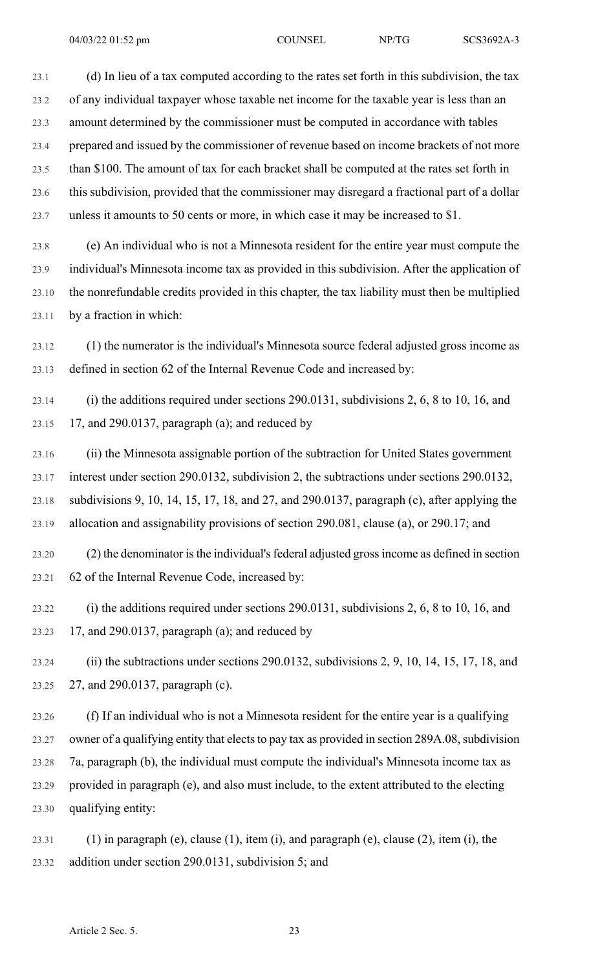23.1 (d) In lieu of a tax computed according to the rates set forth in this subdivision, the tax 23.2 of any individual taxpayer whose taxable net income for the taxable year is less than an 23.3 amount determined by the commissioner must be computed in accordance with tables 23.4 prepared and issued by the commissioner of revenue based on income brackets of not more 23.5 than \$100. The amount of tax for each bracket shall be computed at the rates set forth in 23.6 this subdivision, provided that the commissioner may disregard a fractional part of a dollar 23.7 unless it amounts to 50 cents or more, in which case it may be increased to \$1.

23.8 (e) An individual who is not a Minnesota resident for the entire year must compute the 23.9 individual's Minnesota income tax as provided in this subdivision. After the application of 23.10 the nonrefundable credits provided in this chapter, the tax liability must then be multiplied 23.11 by a fraction in which:

23.12 (1) the numerator is the individual's Minnesota source federal adjusted gross income as 23.13 defined in section 62 of the Internal Revenue Code and increased by:

23.14 (i) the additions required under sections 290.0131, subdivisions 2, 6, 8 to 10, 16, and 23.15 17, and 290.0137, paragraph (a); and reduced by

23.16 (ii) the Minnesota assignable portion of the subtraction for United States government 23.17 interest under section 290.0132, subdivision 2, the subtractions under sections 290.0132, 23.18 subdivisions 9, 10, 14, 15, 17, 18, and 27, and 290.0137, paragraph (c), after applying the 23.19 allocation and assignability provisions of section 290.081, clause (a), or 290.17; and

23.20 (2) the denominator is the individual's federal adjusted gross income as defined in section 23.21 62 of the Internal Revenue Code, increased by:

23.22 (i) the additions required under sections 290.0131, subdivisions 2, 6, 8 to 10, 16, and 23.23 17, and 290.0137, paragraph (a); and reduced by

23.24 (ii) the subtractions under sections 290.0132, subdivisions 2, 9, 10, 14, 15, 17, 18, and 23.25 27, and 290.0137, paragraph (c).

23.26 (f) If an individual who is not a Minnesota resident for the entire year is a qualifying 23.27 owner of a qualifying entity that elects to pay tax as provided in section 289A.08, subdivision 23.28 7a, paragraph (b), the individual must compute the individual's Minnesota income tax as 23.29 provided in paragraph (e), and also must include, to the extent attributed to the electing 23.30 qualifying entity:

23.31 (1) in paragraph (e), clause (1), item (i), and paragraph (e), clause (2), item (i), the 23.32 addition under section 290.0131, subdivision 5; and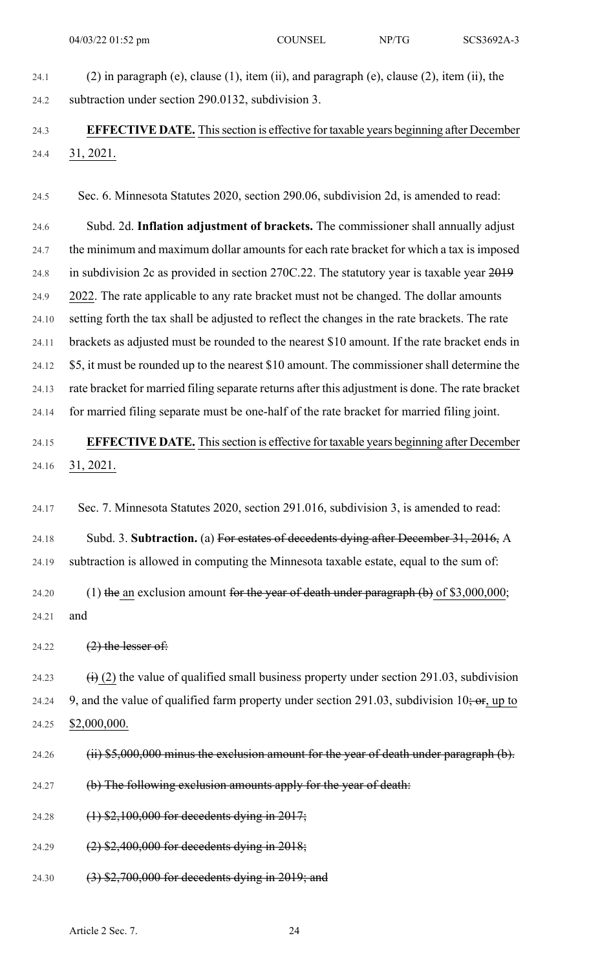- 
- 24.1 (2) in paragraph (e), clause (1), item (ii), and paragraph (e), clause (2), item (ii), the 24.2 subtraction under section 290.0132, subdivision 3.

#### 24.3 **EFFECTIVE DATE.** Thissection is effective for taxable years beginning after December 24.4 31, 2021.

24.5 Sec. 6. Minnesota Statutes 2020, section 290.06, subdivision 2d, is amended to read:

24.6 Subd. 2d. **Inflation adjustment of brackets.** The commissioner shall annually adjust 24.7 the minimum and maximum dollar amounts for each rate bracket for which a tax is imposed 24.8 in subdivision 2c as provided in section 270C.22. The statutory year is taxable year 2019 24.9 2022. The rate applicable to any rate bracket must not be changed. The dollar amounts 24.10 setting forth the tax shall be adjusted to reflect the changes in the rate brackets. The rate 24.11 brackets as adjusted must be rounded to the nearest \$10 amount. If the rate bracket ends in 24.12 \$5, it must be rounded up to the nearest \$10 amount. The commissioner shall determine the 24.13 rate bracket for married filing separate returns after this adjustment is done. The rate bracket 24.14 for married filing separate must be one-half of the rate bracket for married filing joint.

## 24.15 **EFFECTIVE DATE.** Thissection is effective for taxable years beginning after December 24.16 31, 2021.

24.17 Sec. 7. Minnesota Statutes 2020, section 291.016, subdivision 3, is amended to read:

24.18 Subd. 3. **Subtraction.** (a) For estates of decedents dying after December 31, 2016, A 24.19 subtraction is allowed in computing the Minnesota taxable estate, equal to the sum of:

24.20 (1) the an exclusion amount for the year of death under paragraph  $(b)$  of \$3,000,000; 24.21 and

24.22  $(2)$  the lesser of:

24.23  $\qquad (i)$  (2) the value of qualified small business property under section 291.03, subdivision 24.24 9, and the value of qualified farm property under section 291.03, subdivision 10; or, up to 24.25 \$2,000,000.

- 24.26 (ii) \$5,000,000 minus the exclusion amount for the year of death under paragraph (b).
- 24.27 (b) The following exclusion amounts apply for the year of death:
- 24.28 (1) \$2,100,000 for decedents dying in 2017;
- 24.29 (2) \$2,400,000 for decedents dying in 2018;
- 24.30 (3) \$2,700,000 for decedents dying in 2019; and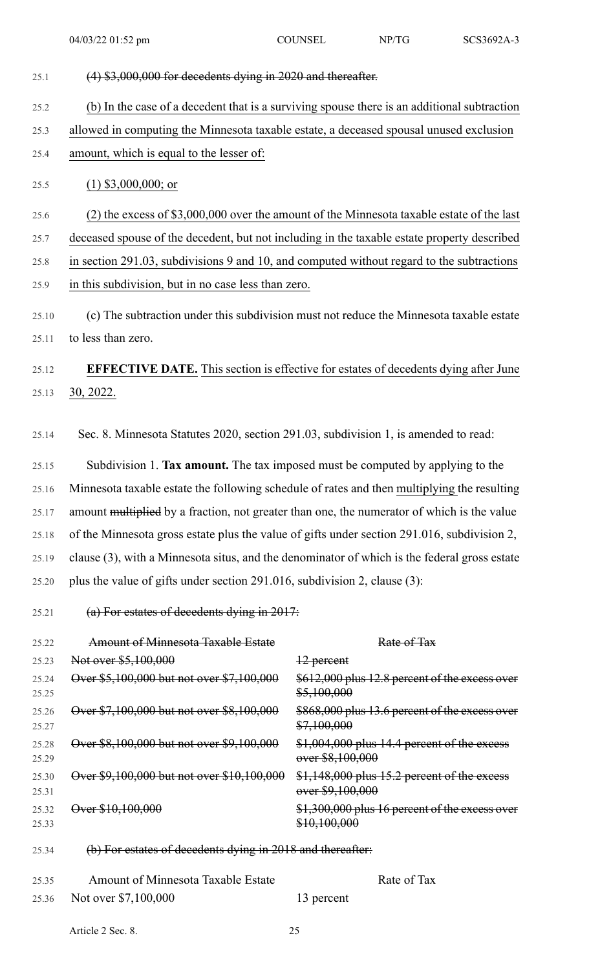| 25.1           | $(4)$ \$3,000,000 for decedents dying in 2020 and thereafter.                                |                                                                                             |  |  |  |
|----------------|----------------------------------------------------------------------------------------------|---------------------------------------------------------------------------------------------|--|--|--|
| 25.2           | (b) In the case of a decedent that is a surviving spouse there is an additional subtraction  |                                                                                             |  |  |  |
| 25.3           | allowed in computing the Minnesota taxable estate, a deceased spousal unused exclusion       |                                                                                             |  |  |  |
| 25.4           | amount, which is equal to the lesser of:                                                     |                                                                                             |  |  |  |
| 25.5           | $(1)$ \$3,000,000; or                                                                        |                                                                                             |  |  |  |
| 25.6           |                                                                                              | $(2)$ the excess of \$3,000,000 over the amount of the Minnesota taxable estate of the last |  |  |  |
| 25.7           | deceased spouse of the decedent, but not including in the taxable estate property described  |                                                                                             |  |  |  |
| 25.8           | in section 291.03, subdivisions 9 and 10, and computed without regard to the subtractions    |                                                                                             |  |  |  |
| 25.9           | in this subdivision, but in no case less than zero.                                          |                                                                                             |  |  |  |
| 25.10          | (c) The subtraction under this subdivision must not reduce the Minnesota taxable estate      |                                                                                             |  |  |  |
| 25.11          | to less than zero.                                                                           |                                                                                             |  |  |  |
| 25.12          |                                                                                              | <b>EFFECTIVE DATE.</b> This section is effective for estates of decedents dying after June  |  |  |  |
| 25.13          | 30, 2022.                                                                                    |                                                                                             |  |  |  |
|                |                                                                                              |                                                                                             |  |  |  |
| 25.14          | Sec. 8. Minnesota Statutes 2020, section 291.03, subdivision 1, is amended to read:          |                                                                                             |  |  |  |
| 25.15          | Subdivision 1. Tax amount. The tax imposed must be computed by applying to the               |                                                                                             |  |  |  |
| 25.16          | Minnesota taxable estate the following schedule of rates and then multiplying the resulting  |                                                                                             |  |  |  |
| 25.17          | amount multiplied by a fraction, not greater than one, the numerator of which is the value   |                                                                                             |  |  |  |
| 25.18          |                                                                                              | of the Minnesota gross estate plus the value of gifts under section 291.016, subdivision 2, |  |  |  |
| 25.19          | clause (3), with a Minnesota situs, and the denominator of which is the federal gross estate |                                                                                             |  |  |  |
| 25.20          | plus the value of gifts under section 291.016, subdivision 2, clause (3):                    |                                                                                             |  |  |  |
| 25.21          | (a) For estates of decedents dying in $2017$ :                                               |                                                                                             |  |  |  |
| 25.22          | <b>Amount of Minnesota Taxable Estate</b>                                                    | Rate of Tax                                                                                 |  |  |  |
| 25.23          | Not over \$5,100,000                                                                         | $\frac{12}{2}$ percent                                                                      |  |  |  |
| 25.24<br>25.25 | Over \$5,100,000 but not over \$7,100,000                                                    | \$612,000 plus 12.8 percent of the excess over<br>\$5,100,000                               |  |  |  |
| 25.26<br>25.27 | Over \$7,100,000 but not over \$8,100,000                                                    | \$868,000 plus 13.6 percent of the excess over<br>\$7,100,000                               |  |  |  |
| 25.28<br>25.29 | Over \$8,100,000 but not over \$9,100,000                                                    | \$1,004,000 plus 14.4 percent of the excess<br>over \$8,100,000                             |  |  |  |
| 25.30<br>25.31 | Over \$9,100,000 but not over \$10,100,000                                                   | \$1,148,000 plus 15.2 percent of the excess<br>over \$9,100,000                             |  |  |  |
| 25.32<br>25.33 | Over \$10,100,000                                                                            | \$1,300,000 plus 16 percent of the excess over<br>\$10,100,000                              |  |  |  |

25.34 (b) For estates of decedents dying in 2018 and thereafter:

| 25.35 | <b>Amount of Minnesota Taxable Estate</b> |            | Rate of Tax |
|-------|-------------------------------------------|------------|-------------|
|       | 25.36 Not over \$7,100,000                | 13 percent |             |